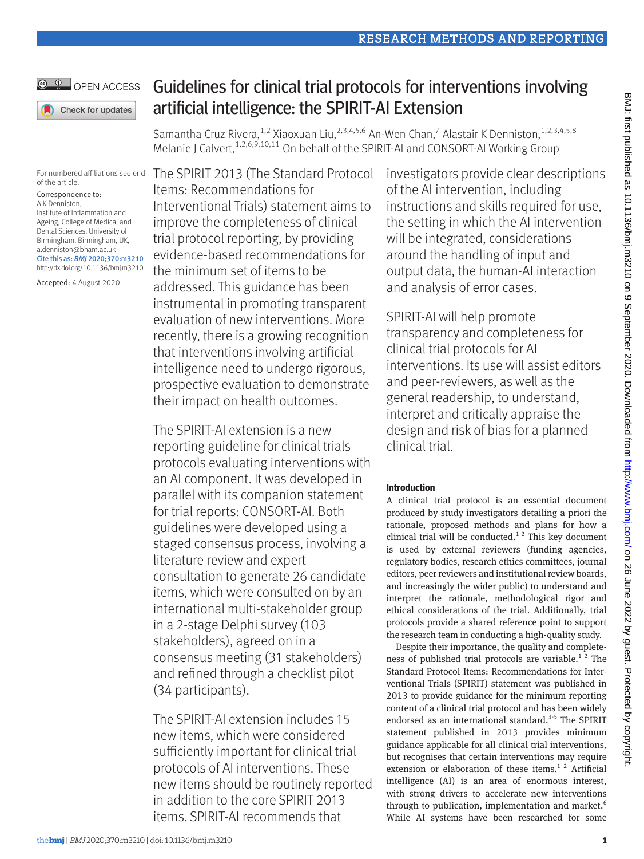Samantha Cruz Rivera,  $^{1,2}$  Xiaoxuan Liu,  $^{2,3,4,5,6}$  An-Wen Chan, $^7$  Alastair K Denniston,  $^{1,2,3,4,5,8}$ Melanie J Calvert,<sup>1,2,6,9,10,11</sup> On behalf of the SPIRIT-AI and CONSORT-AI Working Group

Guidelines for clinical trial protocols for interventions involving

For numbered affiliations see end of the article.

OPEN ACCESS

Check for updates

Correspondence to: A K Denniston, Institute of Inflammation and Ageing, College of Medical and Dental Sciences, University of Birmingham, Birmingham, UK, [a.denniston@bham.ac.uk](mailto:a.denniston@bham.ac.uk) Cite this as: *BMJ* 2020;370:m3210

http://dx.doi.org/10.1136/bmj.m3210 Accepted: 4 August 2020

The SPIRIT 2013 (The Standard Protocol Items: Recommendations for Interventional Trials) statement aims to improve the completeness of clinical trial protocol reporting, by providing evidence-based recommendations for the minimum set of items to be addressed. This guidance has been instrumental in promoting transparent evaluation of new interventions. More recently, there is a growing recognition that interventions involving artificial intelligence need to undergo rigorous, prospective evaluation to demonstrate their impact on health outcomes.

The SPIRIT-AI extension is a new reporting guideline for clinical trials protocols evaluating interventions with an AI component. It was developed in parallel with its companion statement for trial reports: CONSORT-AI. Both guidelines were developed using a staged consensus process, involving a literature review and expert consultation to generate 26 candidate items, which were consulted on by an international multi-stakeholder group in a 2-stage Delphi survey (103 stakeholders), agreed on in a consensus meeting (31 stakeholders) and refined through a checklist pilot (34 participants).

The SPIRIT-AI extension includes 15 new items, which were considered sufficiently important for clinical trial protocols of AI interventions. These new items should be routinely reported in addition to the core SPIRIT 2013 items. SPIRIT-AI recommends that

investigators provide clear descriptions of the AI intervention, including instructions and skills required for use, the setting in which the AI intervention will be integrated, considerations around the handling of input and output data, the human-AI interaction and analysis of error cases.

Research Methods and Reporting

SPIRIT-AI will help promote transparency and completeness for clinical trial protocols for AI interventions. Its use will assist editors and peer-reviewers, as well as the general readership, to understand, interpret and critically appraise the design and risk of bias for a planned clinical trial.

## **Introduction**

A clinical trial protocol is an essential document produced by study investigators detailing a priori the rationale, proposed methods and plans for how a clinical trial will be conducted.<sup>12</sup> This key document is used by external reviewers (funding agencies, regulatory bodies, research ethics committees, journal editors, peer reviewers and institutional review boards, and increasingly the wider public) to understand and interpret the rationale, methodological rigor and ethical considerations of the trial. Additionally, trial protocols provide a shared reference point to support the research team in conducting a high-quality study.

Despite their importance, the quality and completeness of published trial protocols are variable.<sup>12</sup> The Standard Protocol Items: Recommendations for Interventional Trials (SPIRIT) statement was published in 2013 to provide guidance for the minimum reporting content of a clinical trial protocol and has been widely endorsed as an international standard.<sup>3-5</sup> The SPIRIT statement published in 2013 provides minimum guidance applicable for all clinical trial interventions, but recognises that certain interventions may require extension or elaboration of these items.<sup>12</sup> Artificial intelligence (AI) is an area of enormous interest, with strong drivers to accelerate new interventions through to publication, implementation and market.<sup>6</sup> While AI systems have been researched for some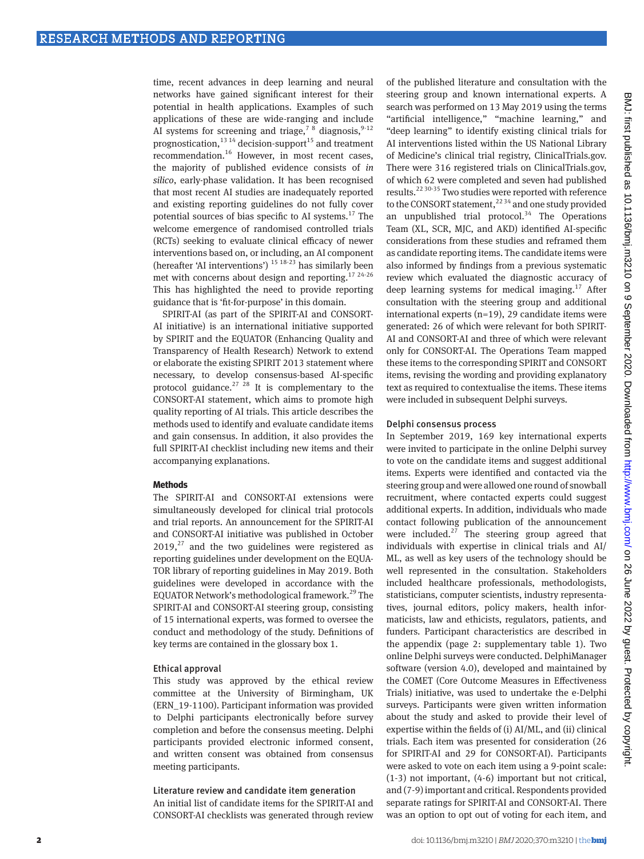time, recent advances in deep learning and neural networks have gained significant interest for their potential in health applications. Examples of such applications of these are wide-ranging and include AI systems for screening and triage,<sup>7 8</sup> diagnosis,<sup>9-12</sup> prognostication,<sup>13 14</sup> decision-support<sup>15</sup> and treatment recommendation.16 However, in most recent cases, the majority of published evidence consists of *in silico*, early-phase validation. It has been recognised that most recent AI studies are inadequately reported and existing reporting guidelines do not fully cover potential sources of bias specific to AI systems.<sup>17</sup> The welcome emergence of randomised controlled trials (RCTs) seeking to evaluate clinical efficacy of newer interventions based on, or including, an AI component (hereafter 'AI interventions') 15 18-23 has similarly been met with concerns about design and reporting.<sup>17 24-26</sup> This has highlighted the need to provide reporting guidance that is 'fit-for-purpose' in this domain.

SPIRIT-AI (as part of the SPIRIT-AI and CONSORT-AI initiative) is an international initiative supported by SPIRIT and the EQUATOR (Enhancing Quality and Transparency of Health Research) Network to extend or elaborate the existing SPIRIT 2013 statement where necessary, to develop consensus-based AI-specific protocol guidance.<sup>27 28</sup> It is complementary to the CONSORT-AI statement, which aims to promote high quality reporting of AI trials. This article describes the methods used to identify and evaluate candidate items and gain consensus. In addition, it also provides the full SPIRIT-AI checklist including new items and their accompanying explanations.

## **Methods**

The SPIRIT-AI and CONSORT-AI extensions were simultaneously developed for clinical trial protocols and trial reports. An announcement for the SPIRIT-AI and CONSORT-AI initiative was published in October  $2019<sub>1</sub><sup>27</sup>$  and the two guidelines were registered as reporting guidelines under development on the EQUA-TOR library of reporting guidelines in May 2019. Both guidelines were developed in accordance with the EQUATOR Network's methodological framework.29 The SPIRIT-AI and CONSORT-AI steering group, consisting of 15 international experts, was formed to oversee the conduct and methodology of the study. Definitions of key terms are contained in the glossary box 1.

## Ethical approval

This study was approved by the ethical review committee at the University of Birmingham, UK (ERN\_19-1100). Participant information was provided to Delphi participants electronically before survey completion and before the consensus meeting. Delphi participants provided electronic informed consent, and written consent was obtained from consensus meeting participants.

## Literature review and candidate item generation

An initial list of candidate items for the SPIRIT-AI and CONSORT-AI checklists was generated through review of the published literature and consultation with the steering group and known international experts. A search was performed on 13 May 2019 using the terms "artificial intelligence," "machine learning," and "deep learning" to identify existing clinical trials for AI interventions listed within the US National Library of Medicine's clinical trial registry, ClinicalTrials.gov. There were 316 registered trials on ClinicalTrials.gov, of which 62 were completed and seven had published results.22 30-35 Two studies were reported with reference to the CONSORT statement,  $2234$  and one study provided an unpublished trial protocol.<sup>34</sup> The Operations Team (XL, SCR, MJC, and AKD) identified AI-specific considerations from these studies and reframed them as candidate reporting items. The candidate items were also informed by findings from a previous systematic review which evaluated the diagnostic accuracy of deep learning systems for medical imaging.<sup>17</sup> After consultation with the steering group and additional international experts (n=19), 29 candidate items were generated: 26 of which were relevant for both SPIRIT-AI and CONSORT-AI and three of which were relevant only for CONSORT-AI. The Operations Team mapped these items to the corresponding SPIRIT and CONSORT items, revising the wording and providing explanatory text as required to contextualise the items. These items were included in subsequent Delphi surveys.

## Delphi consensus process

In September 2019, 169 key international experts were invited to participate in the online Delphi survey to vote on the candidate items and suggest additional items. Experts were identified and contacted via the steering group and were allowed one round of snowball recruitment, where contacted experts could suggest additional experts. In addition, individuals who made contact following publication of the announcement were included. $27$  The steering group agreed that individuals with expertise in clinical trials and AI/ ML, as well as key users of the technology should be well represented in the consultation. Stakeholders included healthcare professionals, methodologists, statisticians, computer scientists, industry representatives, journal editors, policy makers, health informaticists, law and ethicists, regulators, patients, and funders. Participant characteristics are described in the appendix (page 2: supplementary table 1). Two online Delphi surveys were conducted. DelphiManager software (version 4.0), developed and maintained by the COMET (Core Outcome Measures in Effectiveness Trials) initiative, was used to undertake the e-Delphi surveys. Participants were given written information about the study and asked to provide their level of expertise within the fields of (i) AI/ML, and (ii) clinical trials. Each item was presented for consideration (26 for SPIRIT-AI and 29 for CONSORT-AI). Participants were asked to vote on each item using a 9-point scale: (1-3) not important, (4-6) important but not critical, and (7-9) important and critical. Respondents provided separate ratings for SPIRIT-AI and CONSORT-AI. There was an option to opt out of voting for each item, and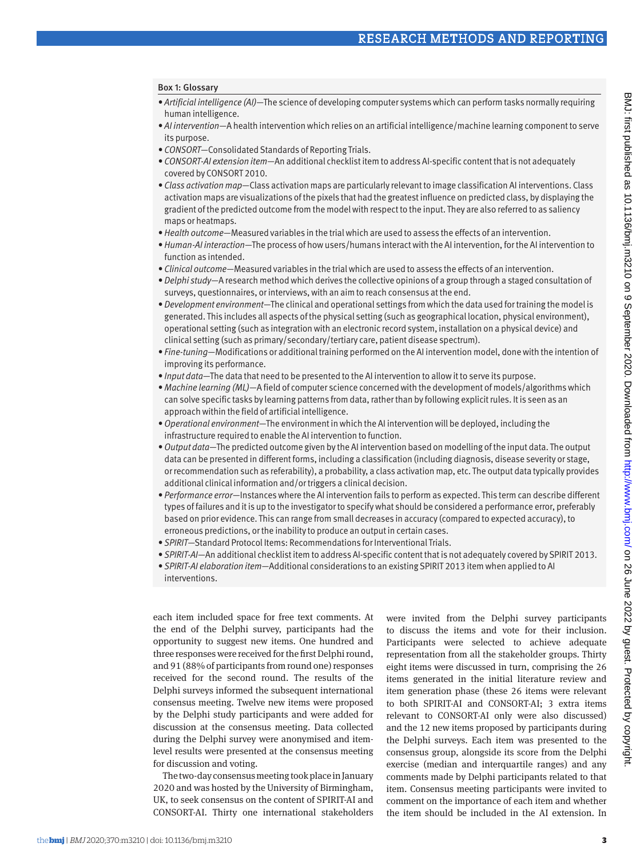## Box 1: Glossary

- *• Artificial intelligence (AI)*—The science of developing computer systems which can perform tasks normally requiring human intelligence.
- *• AI intervention*—A health intervention which relies on an artificial intelligence/machine learning component to serve its purpose.
- *• CONSORT*—Consolidated Standards of Reporting Trials.
- *• CONSORT-AI extension item*—An additional checklist item to address AI-specific content that is not adequately covered by CONSORT 2010.
- *• Class activation map*—Class activation maps are particularly relevant to image classification AI interventions. Class activation maps are visualizations of the pixels that had the greatest influence on predicted class, by displaying the gradient of the predicted outcome from the model with respect to the input. They are also referred to as saliency maps or heatmaps.
- *• Health outcome*—Measured variables in the trial which are used to assess the effects of an intervention.
- *• Human-AI interaction*—The process of how users/humans interact with the AI intervention, for the AI intervention to function as intended.
- *• Clinical outcome*—Measured variables in the trial which are used to assess the effects of an intervention.
- *• Delphi study*—A research method which derives the collective opinions of a group through a staged consultation of surveys, questionnaires, or interviews, with an aim to reach consensus at the end.
- *• Development environment*—The clinical and operational settings from which the data used for training the model is generated. This includes all aspects of the physical setting (such as geographical location, physical environment), operational setting (such as integration with an electronic record system, installation on a physical device) and clinical setting (such as primary/secondary/tertiary care, patient disease spectrum).
- *• Fine-tuning*—Modifications or additional training performed on the AI intervention model, done with the intention of improving its performance.
- *• Input data*—The data that need to be presented to the AI intervention to allow it to serve its purpose.
- *• Machine learning (ML)*—A field of computer science concerned with the development of models/algorithms which can solve specific tasks by learning patterns from data, rather than by following explicit rules. It is seen as an approach within the field of artificial intelligence.
- *• Operational environment*—The environment in which the AI intervention will be deployed, including the infrastructure required to enable the AI intervention to function.
- *• Output data*—The predicted outcome given by the AI intervention based on modelling of the input data. The output data can be presented in different forms, including a classification (including diagnosis, disease severity or stage, or recommendation such as referability), a probability, a class activation map, etc. The output data typically provides additional clinical information and/or triggers a clinical decision.
- *• Performance error*—Instances where the AI intervention fails to perform as expected. This term can describe different types of failures and it is up to the investigator to specify what should be considered a performance error, preferably based on prior evidence. This can range from small decreases in accuracy (compared to expected accuracy), to erroneous predictions, or the inability to produce an output in certain cases.
- *• SPIRIT*—Standard Protocol Items: Recommendations for Interventional Trials.
- *• SPIRIT-AI*—An additional checklist item to address AI-specific content that is not adequately covered by SPIRIT 2013.
- *• SPIRIT-AI elaboration item*—Additional considerations to an existing SPIRIT 2013 item when applied to AI interventions.

each item included space for free text comments. At the end of the Delphi survey, participants had the opportunity to suggest new items. One hundred and three responses were received for the first Delphi round, and 91 (88% of participants from round one) responses received for the second round. The results of the Delphi surveys informed the subsequent international consensus meeting. Twelve new items were proposed by the Delphi study participants and were added for discussion at the consensus meeting. Data collected during the Delphi survey were anonymised and itemlevel results were presented at the consensus meeting for discussion and voting.

The two-day consensus meeting took place in January 2020 and was hosted by the University of Birmingham, UK, to seek consensus on the content of SPIRIT-AI and CONSORT-AI. Thirty one international stakeholders were invited from the Delphi survey participants to discuss the items and vote for their inclusion. Participants were selected to achieve adequate representation from all the stakeholder groups. Thirty eight items were discussed in turn, comprising the 26 items generated in the initial literature review and item generation phase (these 26 items were relevant to both SPIRIT-AI and CONSORT-AI; 3 extra items relevant to CONSORT-AI only were also discussed) and the 12 new items proposed by participants during the Delphi surveys. Each item was presented to the consensus group, alongside its score from the Delphi exercise (median and interquartile ranges) and any comments made by Delphi participants related to that item. Consensus meeting participants were invited to comment on the importance of each item and whether the item should be included in the AI extension. In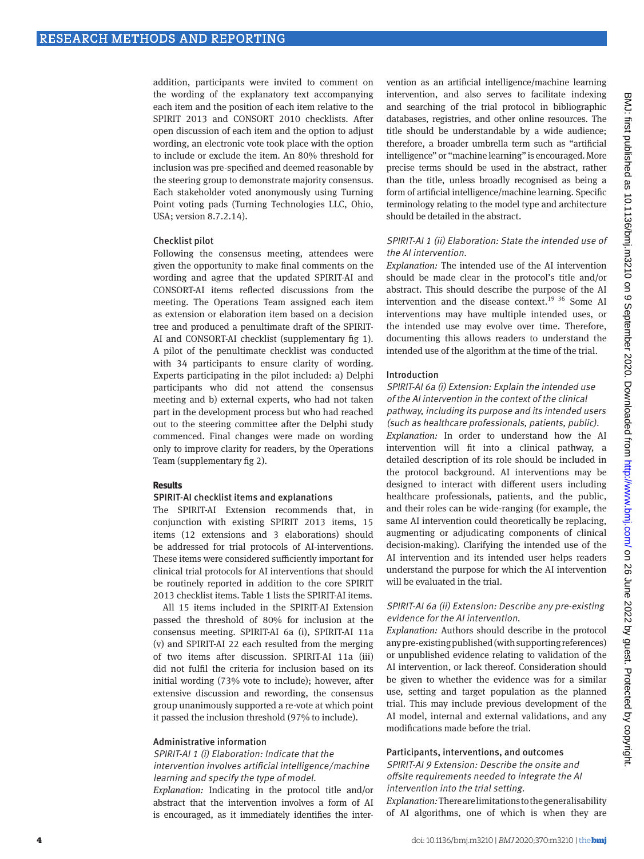addition, participants were invited to comment on the wording of the explanatory text accompanying each item and the position of each item relative to the SPIRIT 2013 and CONSORT 2010 checklists. After open discussion of each item and the option to adjust wording, an electronic vote took place with the option to include or exclude the item. An 80% threshold for inclusion was pre-specified and deemed reasonable by the steering group to demonstrate majority consensus. Each stakeholder voted anonymously using Turning Point voting pads (Turning Technologies LLC, Ohio, USA; version 8.7.2.14).

## Checklist pilot

Following the consensus meeting, attendees were given the opportunity to make final comments on the wording and agree that the updated SPIRIT-AI and CONSORT-AI items reflected discussions from the meeting. The Operations Team assigned each item as extension or elaboration item based on a decision tree and produced a penultimate draft of the SPIRIT-AI and CONSORT-AI checklist (supplementary fig 1). A pilot of the penultimate checklist was conducted with 34 participants to ensure clarity of wording. Experts participating in the pilot included: a) Delphi participants who did not attend the consensus meeting and b) external experts, who had not taken part in the development process but who had reached out to the steering committee after the Delphi study commenced. Final changes were made on wording only to improve clarity for readers, by the Operations Team (supplementary fig 2).

## **Results**

## SPIRIT-AI checklist items and explanations

The SPIRIT-AI Extension recommends that, in conjunction with existing SPIRIT 2013 items, 15 items (12 extensions and 3 elaborations) should be addressed for trial protocols of AI-interventions. These items were considered sufficiently important for clinical trial protocols for AI interventions that should be routinely reported in addition to the core SPIRIT 2013 checklist items. Table 1 lists the SPIRIT-AI items.

All 15 items included in the SPIRIT-AI Extension passed the threshold of 80% for inclusion at the consensus meeting. SPIRIT-AI 6a (i), SPIRIT-AI 11a (v) and SPIRIT-AI 22 each resulted from the merging of two items after discussion. SPIRIT-AI 11a (iii) did not fulfil the criteria for inclusion based on its initial wording (73% vote to include); however, after extensive discussion and rewording, the consensus group unanimously supported a re-vote at which point it passed the inclusion threshold (97% to include).

#### Administrative information

## SPIRIT-AI 1 (i) Elaboration: Indicate that the intervention involves artificial intelligence/machine learning and specify the type of model.

*Explanation:* Indicating in the protocol title and/or abstract that the intervention involves a form of AI is encouraged, as it immediately identifies the intervention as an artificial intelligence/machine learning intervention, and also serves to facilitate indexing and searching of the trial protocol in bibliographic databases, registries, and other online resources. The title should be understandable by a wide audience; therefore, a broader umbrella term such as "artificial intelligence" or "machine learning" is encouraged. More precise terms should be used in the abstract, rather than the title, unless broadly recognised as being a form of artificial intelligence/machine learning. Specific terminology relating to the model type and architecture should be detailed in the abstract.

## SPIRIT-AI 1 (ii) Elaboration: State the intended use of the AI intervention.

*Explanation:* The intended use of the AI intervention should be made clear in the protocol's title and/or abstract. This should describe the purpose of the AI intervention and the disease context.<sup>19 36</sup> Some AI interventions may have multiple intended uses, or the intended use may evolve over time. Therefore, documenting this allows readers to understand the intended use of the algorithm at the time of the trial.

#### Introduction

## SPIRIT-AI 6a (i) Extension: Explain the intended use of the AI intervention in the context of the clinical pathway, including its purpose and its intended users

(such as healthcare professionals, patients, public). *Explanation:* In order to understand how the AI intervention will fit into a clinical pathway, a detailed description of its role should be included in the protocol background. AI interventions may be designed to interact with different users including healthcare professionals, patients, and the public, and their roles can be wide-ranging (for example, the same AI intervention could theoretically be replacing, augmenting or adjudicating components of clinical decision-making). Clarifying the intended use of the AI intervention and its intended user helps readers understand the purpose for which the AI intervention will be evaluated in the trial.

## SPIRIT-AI 6a (ii) Extension: Describe any pre-existing evidence for the AI intervention.

*Explanation:* Authors should describe in the protocol any pre-existing published (with supporting references) or unpublished evidence relating to validation of the AI intervention, or lack thereof. Consideration should be given to whether the evidence was for a similar use, setting and target population as the planned trial. This may include previous development of the AI model, internal and external validations, and any modifications made before the trial.

## Participants, interventions, and outcomes

SPIRIT-AI 9 Extension: Describe the onsite and offsite requirements needed to integrate the AI intervention into the trial setting.

*Explanation:* There are limitations to the generalisability of AI algorithms, one of which is when they are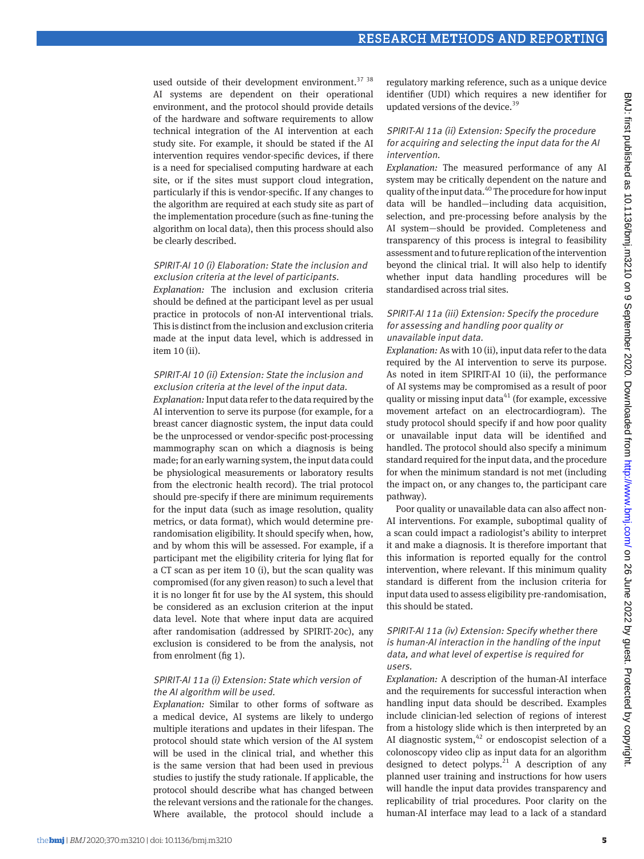used outside of their development environment.<sup>37</sup> <sup>38</sup> AI systems are dependent on their operational environment, and the protocol should provide details of the hardware and software requirements to allow technical integration of the AI intervention at each study site. For example, it should be stated if the AI intervention requires vendor-specific devices, if there is a need for specialised computing hardware at each site, or if the sites must support cloud integration, particularly if this is vendor-specific. If any changes to the algorithm are required at each study site as part of the implementation procedure (such as fine-tuning the algorithm on local data), then this process should also be clearly described.

## SPIRIT-AI 10 (i) Elaboration: State the inclusion and exclusion criteria at the level of participants.

*Explanation:* The inclusion and exclusion criteria should be defined at the participant level as per usual practice in protocols of non-AI interventional trials. This is distinct from the inclusion and exclusion criteria made at the input data level, which is addressed in item 10 (ii).

## SPIRIT-AI 10 (ii) Extension: State the inclusion and exclusion criteria at the level of the input data.

*Explanation:* Input data refer to the data required by the AI intervention to serve its purpose (for example, for a breast cancer diagnostic system, the input data could be the unprocessed or vendor-specific post-processing mammography scan on which a diagnosis is being made; for an early warning system, the input data could be physiological measurements or laboratory results from the electronic health record). The trial protocol should pre-specify if there are minimum requirements for the input data (such as image resolution, quality metrics, or data format), which would determine prerandomisation eligibility. It should specify when, how, and by whom this will be assessed. For example, if a participant met the eligibility criteria for lying flat for a CT scan as per item 10 (i), but the scan quality was compromised (for any given reason) to such a level that it is no longer fit for use by the AI system, this should be considered as an exclusion criterion at the input data level. Note that where input data are acquired after randomisation (addressed by SPIRIT-20c), any exclusion is considered to be from the analysis, not from enrolment (fig 1).

## SPIRIT-AI 11a (i) Extension: State which version of the AI algorithm will be used.

*Explanation:* Similar to other forms of software as a medical device, AI systems are likely to undergo multiple iterations and updates in their lifespan. The protocol should state which version of the AI system will be used in the clinical trial, and whether this is the same version that had been used in previous studies to justify the study rationale. If applicable, the protocol should describe what has changed between the relevant versions and the rationale for the changes. Where available, the protocol should include a regulatory marking reference, such as a unique device identifier (UDI) which requires a new identifier for updated versions of the device.<sup>39</sup>

#### SPIRIT-AI 11a (ii) Extension: Specify the procedure for acquiring and selecting the input data for the AI intervention.

*Explanation:* The measured performance of any AI system may be critically dependent on the nature and quality of the input data.40 The procedure for how input data will be handled—including data acquisition, selection, and pre-processing before analysis by the AI system—should be provided. Completeness and transparency of this process is integral to feasibility assessment and to future replication of the intervention beyond the clinical trial. It will also help to identify whether input data handling procedures will be standardised across trial sites.

## SPIRIT-AI 11a (iii) Extension: Specify the procedure for assessing and handling poor quality or unavailable input data.

*Explanation:* As with 10 (ii), input data refer to the data required by the AI intervention to serve its purpose. As noted in item SPIRIT-AI 10 (ii), the performance of AI systems may be compromised as a result of poor quality or missing input data $41$  (for example, excessive movement artefact on an electrocardiogram). The study protocol should specify if and how poor quality or unavailable input data will be identified and handled. The protocol should also specify a minimum standard required for the input data, and the procedure for when the minimum standard is not met (including the impact on, or any changes to, the participant care pathway).

Poor quality or unavailable data can also affect non-AI interventions. For example, suboptimal quality of a scan could impact a radiologist's ability to interpret it and make a diagnosis. It is therefore important that this information is reported equally for the control intervention, where relevant. If this minimum quality standard is different from the inclusion criteria for input data used to assess eligibility pre-randomisation, this should be stated.

## SPIRIT-AI 11a (iv) Extension: Specify whether there is human-AI interaction in the handling of the input data, and what level of expertise is required for users.

*Explanation:* A description of the human-AI interface and the requirements for successful interaction when handling input data should be described. Examples include clinician-led selection of regions of interest from a histology slide which is then interpreted by an AI diagnostic system, $42$  or endoscopist selection of a colonoscopy video clip as input data for an algorithm designed to detect polyps.<sup>21</sup> A description of any planned user training and instructions for how users will handle the input data provides transparency and replicability of trial procedures. Poor clarity on the human-AI interface may lead to a lack of a standard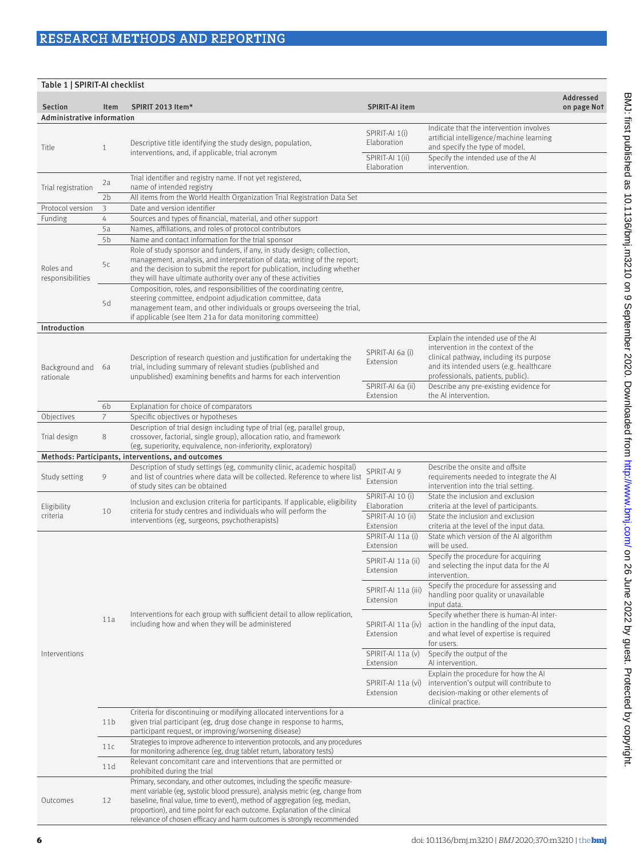| Table 1   SPIRIT-AI checklist         |                 |                                                                                                                                                                                                                                                                                                                                                                                              |                                                           |                                                                                                                                                                                                                                               |                          |  |  |
|---------------------------------------|-----------------|----------------------------------------------------------------------------------------------------------------------------------------------------------------------------------------------------------------------------------------------------------------------------------------------------------------------------------------------------------------------------------------------|-----------------------------------------------------------|-----------------------------------------------------------------------------------------------------------------------------------------------------------------------------------------------------------------------------------------------|--------------------------|--|--|
| Section<br>Administrative information | Item            | SPIRIT 2013 Item*                                                                                                                                                                                                                                                                                                                                                                            | <b>SPIRIT-AI item</b>                                     |                                                                                                                                                                                                                                               | Addressed<br>on page Not |  |  |
| Title                                 | $\mathbf{1}$    | Descriptive title identifying the study design, population,<br>interventions, and, if applicable, trial acronym                                                                                                                                                                                                                                                                              | SPIRIT-AI 1(i)<br>Elaboration                             | Indicate that the intervention involves<br>artificial intelligence/machine learning<br>and specify the type of model.                                                                                                                         |                          |  |  |
|                                       |                 |                                                                                                                                                                                                                                                                                                                                                                                              | SPIRIT-AI 1(ii)<br>Elaboration                            | Specify the intended use of the AI<br>intervention.                                                                                                                                                                                           |                          |  |  |
| Trial registration                    | 2a              | Trial identifier and registry name. If not yet registered,<br>name of intended registry                                                                                                                                                                                                                                                                                                      |                                                           |                                                                                                                                                                                                                                               |                          |  |  |
|                                       | 2 <sub>b</sub>  | All items from the World Health Organization Trial Registration Data Set                                                                                                                                                                                                                                                                                                                     |                                                           |                                                                                                                                                                                                                                               |                          |  |  |
| Protocol version<br>Funding           | 3<br>4          | Date and version identifier<br>Sources and types of financial, material, and other support                                                                                                                                                                                                                                                                                                   |                                                           |                                                                                                                                                                                                                                               |                          |  |  |
|                                       | 5a              | Names, affiliations, and roles of protocol contributors                                                                                                                                                                                                                                                                                                                                      |                                                           |                                                                                                                                                                                                                                               |                          |  |  |
|                                       | 5b              | Name and contact information for the trial sponsor                                                                                                                                                                                                                                                                                                                                           |                                                           |                                                                                                                                                                                                                                               |                          |  |  |
| Roles and<br>responsibilities         | 5c              | Role of study sponsor and funders, if any, in study design; collection,<br>management, analysis, and interpretation of data; writing of the report;<br>and the decision to submit the report for publication, including whether<br>they will have ultimate authority over any of these activities                                                                                            |                                                           |                                                                                                                                                                                                                                               |                          |  |  |
|                                       | 5d              | Composition, roles, and responsibilities of the coordinating centre,<br>steering committee, endpoint adjudication committee, data<br>management team, and other individuals or groups overseeing the trial,<br>if applicable (see Item 21a for data monitoring committee)                                                                                                                    |                                                           |                                                                                                                                                                                                                                               |                          |  |  |
| Introduction                          |                 |                                                                                                                                                                                                                                                                                                                                                                                              |                                                           |                                                                                                                                                                                                                                               |                          |  |  |
| Background and<br>rationale           | 6a              | Description of research question and justification for undertaking the<br>trial, including summary of relevant studies (published and<br>unpublished) examining benefits and harms for each intervention                                                                                                                                                                                     | SPIRIT-AI 6a (i)<br><b>Extension</b><br>SPIRIT-AI 6a (ii) | Explain the intended use of the AI<br>intervention in the context of the<br>clinical pathway, including its purpose<br>and its intended users (e.g. healthcare<br>professionals, patients, public).<br>Describe any pre-existing evidence for |                          |  |  |
|                                       |                 |                                                                                                                                                                                                                                                                                                                                                                                              | Extension                                                 | the AI intervention.                                                                                                                                                                                                                          |                          |  |  |
|                                       | 6b              | Explanation for choice of comparators                                                                                                                                                                                                                                                                                                                                                        |                                                           |                                                                                                                                                                                                                                               |                          |  |  |
| Objectives                            | $\overline{7}$  | Specific objectives or hypotheses<br>Description of trial design including type of trial (eg, parallel group,                                                                                                                                                                                                                                                                                |                                                           |                                                                                                                                                                                                                                               |                          |  |  |
| Trial design                          | 8               | crossover, factorial, single group), allocation ratio, and framework<br>(eg, superiority, equivalence, non-inferiority, exploratory)                                                                                                                                                                                                                                                         |                                                           |                                                                                                                                                                                                                                               |                          |  |  |
|                                       |                 | Methods: Participants, interventions, and outcomes                                                                                                                                                                                                                                                                                                                                           |                                                           |                                                                                                                                                                                                                                               |                          |  |  |
| Study setting                         | 9               | Description of study settings (eg, community clinic, academic hospital)<br>and list of countries where data will be collected. Reference to where list<br>of study sites can be obtained                                                                                                                                                                                                     | SPIRIT-AI 9<br>Extension                                  | Describe the onsite and offsite<br>requirements needed to integrate the AI<br>intervention into the trial setting.                                                                                                                            |                          |  |  |
| Eligibility<br>criteria               | 10              | Inclusion and exclusion criteria for participants. If applicable, eligibility<br>criteria for study centres and individuals who will perform the                                                                                                                                                                                                                                             | SPIRIT-AI 10 (i)<br>Elaboration<br>SPIRIT-AI 10 (ii)      | State the inclusion and exclusion<br>criteria at the level of participants.<br>State the inclusion and exclusion                                                                                                                              |                          |  |  |
|                                       |                 | interventions (eg, surgeons, psychotherapists)<br>Interventions for each group with sufficient detail to allow replication,<br>including how and when they will be administered                                                                                                                                                                                                              | Extension<br>SPIRIT-AI 11a (i)                            | criteria at the level of the input data.<br>State which version of the AI algorithm                                                                                                                                                           |                          |  |  |
|                                       | 11a             |                                                                                                                                                                                                                                                                                                                                                                                              | Extension                                                 | will be used.                                                                                                                                                                                                                                 |                          |  |  |
|                                       |                 |                                                                                                                                                                                                                                                                                                                                                                                              | SPIRIT-AI 11a (ii)<br>Extension                           | Specify the procedure for acquiring<br>and selecting the input data for the AI<br>intervention.                                                                                                                                               |                          |  |  |
|                                       |                 |                                                                                                                                                                                                                                                                                                                                                                                              | SPIRIT-AI 11a (iii)<br>Extension                          | Specify the procedure for assessing and<br>handling poor quality or unavailable<br>input data.                                                                                                                                                |                          |  |  |
|                                       |                 |                                                                                                                                                                                                                                                                                                                                                                                              | SPIRIT-AI 11a (iv)<br>Extension                           | Specify whether there is human-AI inter-<br>action in the handling of the input data,<br>and what level of expertise is required<br>for users.                                                                                                |                          |  |  |
| Interventions                         |                 |                                                                                                                                                                                                                                                                                                                                                                                              | SPIRIT-AI 11a (v)<br>Extension                            | Specify the output of the<br>Al intervention.                                                                                                                                                                                                 |                          |  |  |
|                                       |                 |                                                                                                                                                                                                                                                                                                                                                                                              | SPIRIT-AI 11a (vi)<br>Extension                           | Explain the procedure for how the AI<br>intervention's output will contribute to<br>decision-making or other elements of<br>clinical practice.                                                                                                |                          |  |  |
|                                       | 11 <sub>b</sub> | Criteria for discontinuing or modifying allocated interventions for a<br>given trial participant (eg, drug dose change in response to harms,<br>participant request, or improving/worsening disease)                                                                                                                                                                                         |                                                           |                                                                                                                                                                                                                                               |                          |  |  |
|                                       | 11c             | Strategies to improve adherence to intervention protocols, and any procedures<br>for monitoring adherence (eg, drug tablet return, laboratory tests)                                                                                                                                                                                                                                         |                                                           |                                                                                                                                                                                                                                               |                          |  |  |
|                                       | 11d             | Relevant concomitant care and interventions that are permitted or<br>prohibited during the trial                                                                                                                                                                                                                                                                                             |                                                           |                                                                                                                                                                                                                                               |                          |  |  |
| Outcomes                              | 12              | Primary, secondary, and other outcomes, including the specific measure-<br>ment variable (eg, systolic blood pressure), analysis metric (eg, change from<br>baseline, final value, time to event), method of aggregation (eg, median,<br>proportion), and time point for each outcome. Explanation of the clinical<br>relevance of chosen efficacy and harm outcomes is strongly recommended |                                                           |                                                                                                                                                                                                                                               |                          |  |  |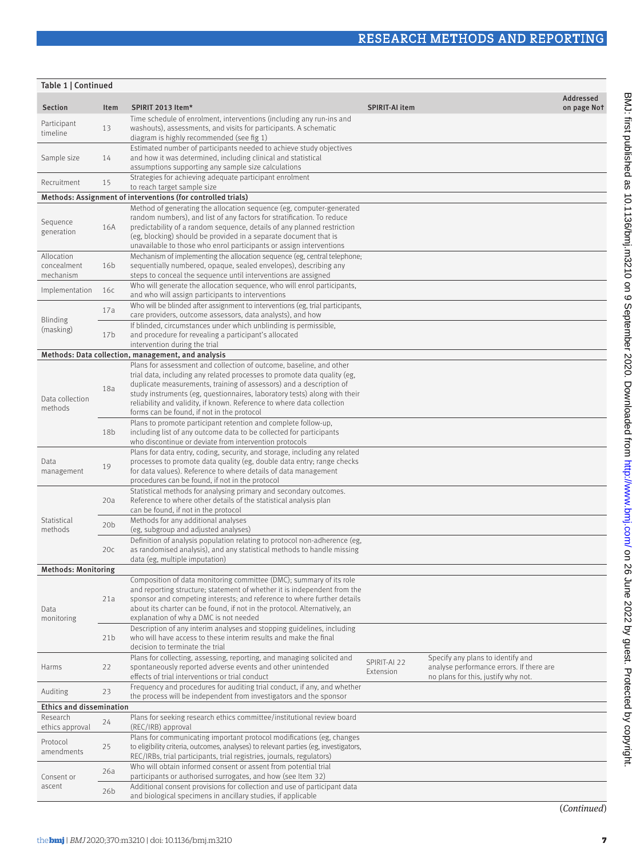| Table 1   Continued                    |                 |                                                                                                                                                                                                                                                                                                                                                                                                                             |                           |                                                                                                                      |                          |
|----------------------------------------|-----------------|-----------------------------------------------------------------------------------------------------------------------------------------------------------------------------------------------------------------------------------------------------------------------------------------------------------------------------------------------------------------------------------------------------------------------------|---------------------------|----------------------------------------------------------------------------------------------------------------------|--------------------------|
| <b>Section</b>                         | Item            | SPIRIT 2013 Item*                                                                                                                                                                                                                                                                                                                                                                                                           | <b>SPIRIT-AI item</b>     |                                                                                                                      | Addressed<br>on page Not |
| Participant<br>timeline                | 13              | Time schedule of enrolment, interventions (including any run-ins and<br>washouts), assessments, and visits for participants. A schematic<br>diagram is highly recommended (see fig 1)                                                                                                                                                                                                                                       |                           |                                                                                                                      |                          |
| Sample size                            | 14              | Estimated number of participants needed to achieve study objectives<br>and how it was determined, including clinical and statistical<br>assumptions supporting any sample size calculations                                                                                                                                                                                                                                 |                           |                                                                                                                      |                          |
| Recruitment                            | 15              | Strategies for achieving adequate participant enrolment<br>to reach target sample size                                                                                                                                                                                                                                                                                                                                      |                           |                                                                                                                      |                          |
|                                        |                 | Methods: Assignment of interventions (for controlled trials)                                                                                                                                                                                                                                                                                                                                                                |                           |                                                                                                                      |                          |
| Sequence<br>generation                 | 16A             | Method of generating the allocation sequence (eg, computer-generated<br>random numbers), and list of any factors for stratification. To reduce<br>predictability of a random sequence, details of any planned restriction<br>(eg, blocking) should be provided in a separate document that is<br>unavailable to those who enrol participants or assign interventions                                                        |                           |                                                                                                                      |                          |
| Allocation<br>concealment<br>mechanism | 16 <sub>b</sub> | Mechanism of implementing the allocation sequence (eg, central telephone;<br>sequentially numbered, opaque, sealed envelopes), describing any<br>steps to conceal the sequence until interventions are assigned                                                                                                                                                                                                             |                           |                                                                                                                      |                          |
| Implementation                         | 16c             | Who will generate the allocation sequence, who will enrol participants,<br>and who will assign participants to interventions                                                                                                                                                                                                                                                                                                |                           |                                                                                                                      |                          |
| <b>Blinding</b><br>(masking)           | 17a             | Who will be blinded after assignment to interventions (eg, trial participants,<br>care providers, outcome assessors, data analysts), and how                                                                                                                                                                                                                                                                                |                           |                                                                                                                      |                          |
|                                        | 17 <sub>b</sub> | If blinded, circumstances under which unblinding is permissible,<br>and procedure for revealing a participant's allocated<br>intervention during the trial                                                                                                                                                                                                                                                                  |                           |                                                                                                                      |                          |
|                                        |                 | Methods: Data collection, management, and analysis                                                                                                                                                                                                                                                                                                                                                                          |                           |                                                                                                                      |                          |
| Data collection<br>methods             | 18a             | Plans for assessment and collection of outcome, baseline, and other<br>trial data, including any related processes to promote data quality (eg.<br>duplicate measurements, training of assessors) and a description of<br>study instruments (eg, questionnaires, laboratory tests) along with their<br>reliability and validity, if known. Reference to where data collection<br>forms can be found, if not in the protocol |                           |                                                                                                                      |                          |
|                                        | 18 <sub>b</sub> | Plans to promote participant retention and complete follow-up,<br>including list of any outcome data to be collected for participants<br>who discontinue or deviate from intervention protocols                                                                                                                                                                                                                             |                           |                                                                                                                      |                          |
| Data<br>management                     | 19              | Plans for data entry, coding, security, and storage, including any related<br>processes to promote data quality (eg, double data entry; range checks<br>for data values). Reference to where details of data management<br>procedures can be found, if not in the protocol                                                                                                                                                  |                           |                                                                                                                      |                          |
|                                        | 20a             | Statistical methods for analysing primary and secondary outcomes.<br>Reference to where other details of the statistical analysis plan<br>can be found, if not in the protocol                                                                                                                                                                                                                                              |                           |                                                                                                                      |                          |
| Statistical<br>methods                 | 20 <sub>b</sub> | Methods for any additional analyses<br>(eg, subgroup and adjusted analyses)                                                                                                                                                                                                                                                                                                                                                 |                           |                                                                                                                      |                          |
|                                        | 20c             | Definition of analysis population relating to protocol non-adherence (eg,<br>as randomised analysis), and any statistical methods to handle missing<br>data (eg, multiple imputation)                                                                                                                                                                                                                                       |                           |                                                                                                                      |                          |
| <b>Methods: Monitoring</b>             |                 |                                                                                                                                                                                                                                                                                                                                                                                                                             |                           |                                                                                                                      |                          |
| Data<br>monitoring                     | 21a             | Composition of data monitoring committee (DMC); summary of its role<br>and reporting structure; statement of whether it is independent from the<br>sponsor and competing interests; and reference to where further details<br>about its charter can be found, if not in the protocol. Alternatively, an<br>explanation of why a DMC is not needed                                                                           |                           |                                                                                                                      |                          |
|                                        | 21 <sub>b</sub> | Description of any interim analyses and stopping guidelines, including<br>who will have access to these interim results and make the final<br>decision to terminate the trial                                                                                                                                                                                                                                               |                           |                                                                                                                      |                          |
| Harms                                  | 22              | Plans for collecting, assessing, reporting, and managing solicited and<br>spontaneously reported adverse events and other unintended<br>effects of trial interventions or trial conduct                                                                                                                                                                                                                                     | SPIRIT-AI 22<br>Extension | Specify any plans to identify and<br>analyse performance errors. If there are<br>no plans for this, justify why not. |                          |
| Auditing                               | 23              | Frequency and procedures for auditing trial conduct, if any, and whether<br>the process will be independent from investigators and the sponsor                                                                                                                                                                                                                                                                              |                           |                                                                                                                      |                          |
| <b>Ethics and dissemination</b>        |                 |                                                                                                                                                                                                                                                                                                                                                                                                                             |                           |                                                                                                                      |                          |
| Research<br>ethics approval            | 24              | Plans for seeking research ethics committee/institutional review board<br>(REC/IRB) approval                                                                                                                                                                                                                                                                                                                                |                           |                                                                                                                      |                          |
| Protocol<br>amendments                 | 25              | Plans for communicating important protocol modifications (eg, changes<br>to eligibility criteria, outcomes, analyses) to relevant parties (eg, investigators,<br>REC/IRBs, trial participants, trial registries, journals, regulators)                                                                                                                                                                                      |                           |                                                                                                                      |                          |
| Consent or<br>ascent                   | 26a             | Who will obtain informed consent or assent from potential trial<br>participants or authorised surrogates, and how (see Item 32)                                                                                                                                                                                                                                                                                             |                           |                                                                                                                      |                          |
|                                        | 26b             | Additional consent provisions for collection and use of participant data<br>and biological specimens in ancillary studies, if applicable                                                                                                                                                                                                                                                                                    |                           |                                                                                                                      |                          |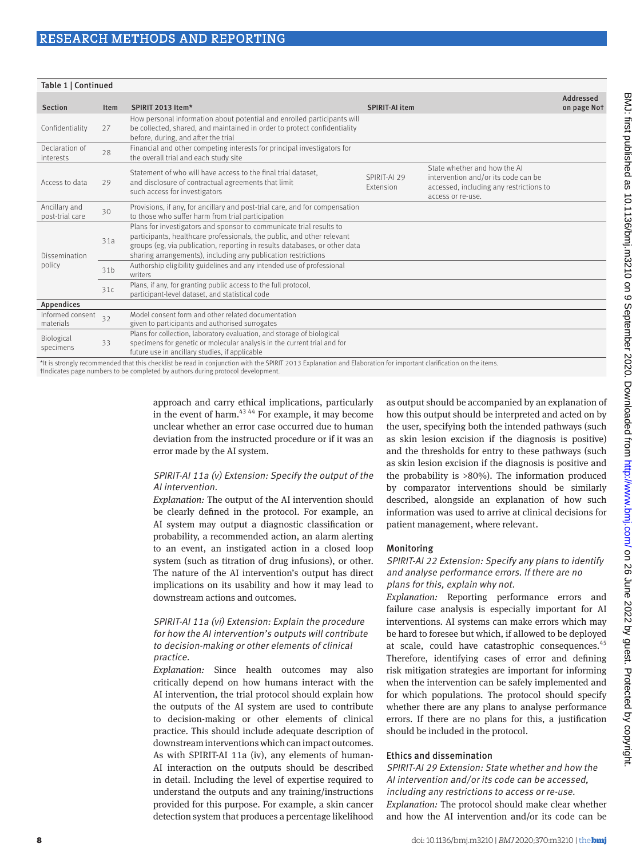| Table 1   Continued              |             |                                                                                                                                                                                                                                                                                              |                           |                                                                                                                                     |                          |  |  |
|----------------------------------|-------------|----------------------------------------------------------------------------------------------------------------------------------------------------------------------------------------------------------------------------------------------------------------------------------------------|---------------------------|-------------------------------------------------------------------------------------------------------------------------------------|--------------------------|--|--|
| <b>Section</b>                   | <b>Item</b> | SPIRIT 2013 Item*                                                                                                                                                                                                                                                                            | <b>SPIRIT-AI item</b>     |                                                                                                                                     | Addressed<br>on page Not |  |  |
| Confidentiality                  | 27          | How personal information about potential and enrolled participants will<br>be collected, shared, and maintained in order to protect confidentiality<br>before, during, and after the trial                                                                                                   |                           |                                                                                                                                     |                          |  |  |
| Declaration of<br>interests      | 28          | Financial and other competing interests for principal investigators for<br>the overall trial and each study site                                                                                                                                                                             |                           |                                                                                                                                     |                          |  |  |
| Access to data                   | 29          | Statement of who will have access to the final trial dataset.<br>and disclosure of contractual agreements that limit<br>such access for investigators                                                                                                                                        | SPIRIT-AI 29<br>Extension | State whether and how the AI<br>intervention and/or its code can be<br>accessed, including any restrictions to<br>access or re-use. |                          |  |  |
| Ancillary and<br>post-trial care | 30          | Provisions, if any, for ancillary and post-trial care, and for compensation<br>to those who suffer harm from trial participation                                                                                                                                                             |                           |                                                                                                                                     |                          |  |  |
| Dissemination<br>policy          | 31a         | Plans for investigators and sponsor to communicate trial results to<br>participants, healthcare professionals, the public, and other relevant<br>groups (eg, via publication, reporting in results databases, or other data<br>sharing arrangements), including any publication restrictions |                           |                                                                                                                                     |                          |  |  |
|                                  | 31b         | Authorship eligibility guidelines and any intended use of professional<br>writers                                                                                                                                                                                                            |                           |                                                                                                                                     |                          |  |  |
|                                  | 31c         | Plans, if any, for granting public access to the full protocol,<br>participant-level dataset, and statistical code                                                                                                                                                                           |                           |                                                                                                                                     |                          |  |  |
| Appendices                       |             |                                                                                                                                                                                                                                                                                              |                           |                                                                                                                                     |                          |  |  |
| Informed consent<br>materials    | 32          | Model consent form and other related documentation<br>given to participants and authorised surrogates                                                                                                                                                                                        |                           |                                                                                                                                     |                          |  |  |
| Biological<br>specimens          | 33          | Plans for collection, laboratory evaluation, and storage of biological<br>specimens for genetic or molecular analysis in the current trial and for<br>future use in ancillary studies, if applicable                                                                                         |                           |                                                                                                                                     |                          |  |  |
| .                                |             | <u> 1910 - 1910 - 1920 - 1920 - 1920 - 1930 - 1940 - 1950 - 1950 - 1950 - 1950 - 1950 - 1950 - 1950 - 1950 - 1950 - 1950 - 1950 - 1950 - 1950 - 1950 - 1950 - 1950 - 1950 - 1950 - 1950 - 1950 - 1950 - 1950 - 1950 - 1950 - 195</u>                                                         |                           | <b>Contract Contract</b>                                                                                                            |                          |  |  |

\*It is strongly recommended that this checklist be read in conjunction with the SPIRIT 2013 Explanation and Elaboration for important clarification on the items. †Indicates page numbers to be completed by authors during protocol development.

> approach and carry ethical implications, particularly in the event of harm. $43,44$  For example, it may become unclear whether an error case occurred due to human deviation from the instructed procedure or if it was an error made by the AI system.

## SPIRIT-AI 11a (v) Extension: Specify the output of the AI intervention.

*Explanation:* The output of the AI intervention should be clearly defined in the protocol. For example, an AI system may output a diagnostic classification or probability, a recommended action, an alarm alerting to an event, an instigated action in a closed loop system (such as titration of drug infusions), or other. The nature of the AI intervention's output has direct implications on its usability and how it may lead to downstream actions and outcomes.

## SPIRIT-AI 11a (vi) Extension: Explain the procedure for how the AI intervention's outputs will contribute to decision-making or other elements of clinical practice.

*Explanation:* Since health outcomes may also critically depend on how humans interact with the AI intervention, the trial protocol should explain how the outputs of the AI system are used to contribute to decision-making or other elements of clinical practice. This should include adequate description of downstream interventions which can impact outcomes. As with SPIRIT-AI 11a (iv), any elements of human-AI interaction on the outputs should be described in detail. Including the level of expertise required to understand the outputs and any training/instructions provided for this purpose. For example, a skin cancer detection system that produces a percentage likelihood

as output should be accompanied by an explanation of how this output should be interpreted and acted on by the user, specifying both the intended pathways (such as skin lesion excision if the diagnosis is positive) and the thresholds for entry to these pathways (such as skin lesion excision if the diagnosis is positive and the probability is >80%). The information produced by comparator interventions should be similarly described, alongside an explanation of how such information was used to arrive at clinical decisions for patient management, where relevant.

## Monitoring

## SPIRIT-AI 22 Extension: Specify any plans to identify and analyse performance errors. If there are no plans for this, explain why not.

*Explanation:* Reporting performance errors and failure case analysis is especially important for AI interventions. AI systems can make errors which may be hard to foresee but which, if allowed to be deployed at scale, could have catastrophic consequences.<sup>45</sup> Therefore, identifying cases of error and defining risk mitigation strategies are important for informing when the intervention can be safely implemented and for which populations. The protocol should specify whether there are any plans to analyse performance errors. If there are no plans for this, a justification should be included in the protocol.

## Ethics and dissemination

## SPIRIT-AI 29 Extension: State whether and how the AI intervention and/or its code can be accessed, including any restrictions to access or re-use.

*Explanation:* The protocol should make clear whether and how the AI intervention and/or its code can be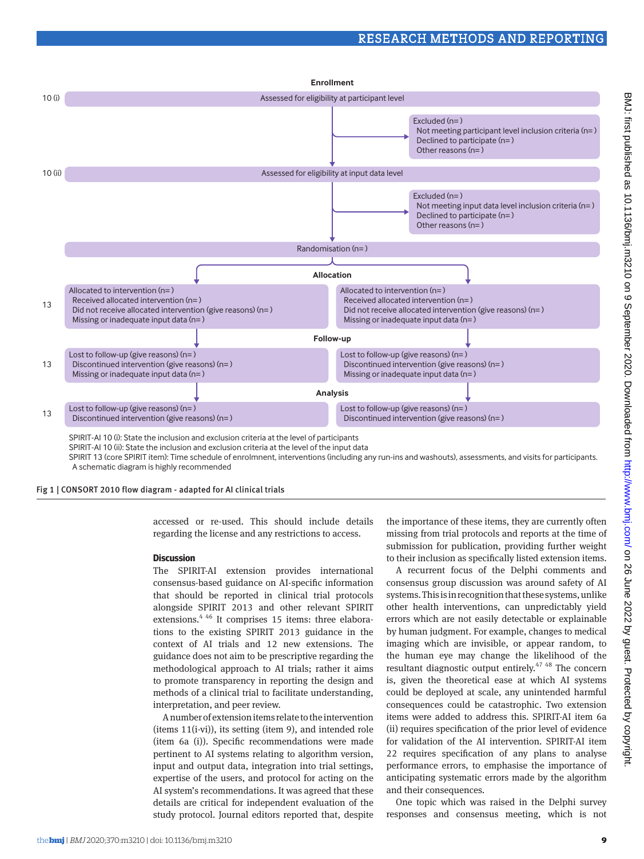

SPIRIT 13 (core SPIRIT item): Time schedule of enrolmnent, interventions (including any run-ins and washouts), assessments, and visits for participants. A schematic diagram is highly recommended

Fig 1 | CONSORT 2010 flow diagram - adapted for AI clinical trials

accessed or re-used. This should include details regarding the license and any restrictions to access.

## **Discussion**

The SPIRIT-AI extension provides international consensus-based guidance on AI-specific information that should be reported in clinical trial protocols alongside SPIRIT 2013 and other relevant SPIRIT extensions.<sup>4 46</sup> It comprises 15 items: three elaborations to the existing SPIRIT 2013 guidance in the context of AI trials and 12 new extensions. The guidance does not aim to be prescriptive regarding the methodological approach to AI trials; rather it aims to promote transparency in reporting the design and methods of a clinical trial to facilitate understanding, interpretation, and peer review.

A number of extension items relate to the intervention (items 11(i-vi)), its setting (item 9), and intended role (item 6a (i)). Specific recommendations were made pertinent to AI systems relating to algorithm version, input and output data, integration into trial settings, expertise of the users, and protocol for acting on the AI system's recommendations. It was agreed that these details are critical for independent evaluation of the study protocol. Journal editors reported that, despite

the importance of these items, they are currently often missing from trial protocols and reports at the time of submission for publication, providing further weight to their inclusion as specifically listed extension items.

A recurrent focus of the Delphi comments and consensus group discussion was around safety of AI systems. This is in recognition that these systems, unlike other health interventions, can unpredictably yield errors which are not easily detectable or explainable by human judgment. For example, changes to medical imaging which are invisible, or appear random, to the human eye may change the likelihood of the resultant diagnostic output entirely.47 48 The concern is, given the theoretical ease at which AI systems could be deployed at scale, any unintended harmful consequences could be catastrophic. Two extension items were added to address this. SPIRIT-AI item 6a (ii) requires specification of the prior level of evidence for validation of the AI intervention. SPIRIT-AI item 22 requires specification of any plans to analyse performance errors, to emphasise the importance of anticipating systematic errors made by the algorithm and their consequences.

One topic which was raised in the Delphi survey responses and consensus meeting, which is not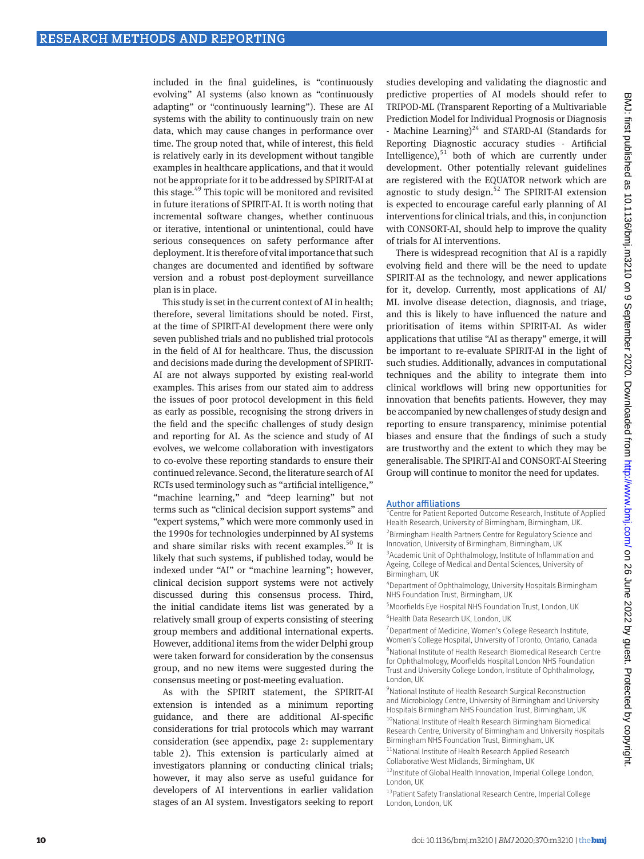included in the final guidelines, is "continuously evolving" AI systems (also known as "continuously adapting" or "continuously learning"). These are AI systems with the ability to continuously train on new data, which may cause changes in performance over time. The group noted that, while of interest, this field is relatively early in its development without tangible examples in healthcare applications, and that it would not be appropriate for it to be addressed by SPIRIT-AI at this stage.49 This topic will be monitored and revisited in future iterations of SPIRIT-AI. It is worth noting that incremental software changes, whether continuous or iterative, intentional or unintentional, could have serious consequences on safety performance after deployment. It is therefore of vital importance that such changes are documented and identified by software version and a robust post-deployment surveillance plan is in place.

This study is set in the current context of AI in health; therefore, several limitations should be noted. First, at the time of SPIRIT-AI development there were only seven published trials and no published trial protocols in the field of AI for healthcare. Thus, the discussion and decisions made during the development of SPIRIT-AI are not always supported by existing real-world examples. This arises from our stated aim to address the issues of poor protocol development in this field as early as possible, recognising the strong drivers in the field and the specific challenges of study design and reporting for AI. As the science and study of AI evolves, we welcome collaboration with investigators to co-evolve these reporting standards to ensure their continued relevance. Second, the literature search of AI RCTs used terminology such as "artificial intelligence," "machine learning," and "deep learning" but not terms such as "clinical decision support systems" and "expert systems," which were more commonly used in the 1990s for technologies underpinned by AI systems and share similar risks with recent examples.<sup>50</sup> It is likely that such systems, if published today, would be indexed under "AI" or "machine learning"; however, clinical decision support systems were not actively discussed during this consensus process. Third, the initial candidate items list was generated by a relatively small group of experts consisting of steering group members and additional international experts. However, additional items from the wider Delphi group were taken forward for consideration by the consensus group, and no new items were suggested during the consensus meeting or post-meeting evaluation.

As with the SPIRIT statement, the SPIRIT-AI extension is intended as a minimum reporting guidance, and there are additional AI-specific considerations for trial protocols which may warrant consideration (see appendix, page 2: supplementary table 2). This extension is particularly aimed at investigators planning or conducting clinical trials; however, it may also serve as useful guidance for developers of AI interventions in earlier validation stages of an AI system. Investigators seeking to report

studies developing and validating the diagnostic and predictive properties of AI models should refer to TRIPOD-ML (Transparent Reporting of a Multivariable Prediction Model for Individual Prognosis or Diagnosis - Machine Learning) $^{24}$  and STARD-AI (Standards for Reporting Diagnostic accuracy studies - Artificial Intelligence), $51$  both of which are currently under development. Other potentially relevant guidelines are registered with the EQUATOR network which are agnostic to study design.<sup>52</sup> The SPIRIT-AI extension is expected to encourage careful early planning of AI interventions for clinical trials, and this, in conjunction with CONSORT-AI, should help to improve the quality of trials for AI interventions.

There is widespread recognition that AI is a rapidly evolving field and there will be the need to update SPIRIT-AI as the technology, and newer applications for it, develop. Currently, most applications of AI/ ML involve disease detection, diagnosis, and triage, and this is likely to have influenced the nature and prioritisation of items within SPIRIT-AI. As wider applications that utilise "AI as therapy" emerge, it will be important to re-evaluate SPIRIT-AI in the light of such studies. Additionally, advances in computational techniques and the ability to integrate them into clinical workflows will bring new opportunities for innovation that benefits patients. However, they may be accompanied by new challenges of study design and reporting to ensure transparency, minimise potential biases and ensure that the findings of such a study are trustworthy and the extent to which they may be generalisable. The SPIRIT-AI and CONSORT-AI Steering Group will continue to monitor the need for updates.

## Author affiliations

1 Centre for Patient Reported Outcome Research, Institute of Applied Health Research, University of Birmingham, Birmingham, UK. <sup>2</sup> Birmingham Health Partners Centre for Regulatory Science and Innovation, University of Birmingham, Birmingham, UK <sup>3</sup> Academic Unit of Ophthalmology, Institute of Inflammation and Ageing, College of Medical and Dental Sciences, University of Birmingham, UK

4 Department of Ophthalmology, University Hospitals Birmingham NHS Foundation Trust, Birmingham, UK

<sup>5</sup> Moorfields Eye Hospital NHS Foundation Trust, London, UK 6 Health Data Research UK, London, UK

<sup>7</sup> Department of Medicine, Women's College Research Institute, Women's College Hospital, University of Toronto, Ontario, Canada 8 National Institute of Health Research Biomedical Research Centre for Ophthalmology, Moorfields Hospital London NHS Foundation

Trust and University College London, Institute of Ophthalmology, London, UK

<sup>9</sup>National Institute of Health Research Surgical Reconstruction and Microbiology Centre, University of Birmingham and University Hospitals Birmingham NHS Foundation Trust, Birmingham, UK

<sup>10</sup>National Institute of Health Research Birmingham Biomedical Research Centre, University of Birmingham and University Hospitals Birmingham NHS Foundation Trust, Birmingham, UK

<sup>11</sup>National Institute of Health Research Applied Research Collaborative West Midlands, Birmingham, UK

<sup>12</sup>Institute of Global Health Innovation, Imperial College London, London, UK

13 Patient Safety Translational Research Centre, Imperial College London, London, UK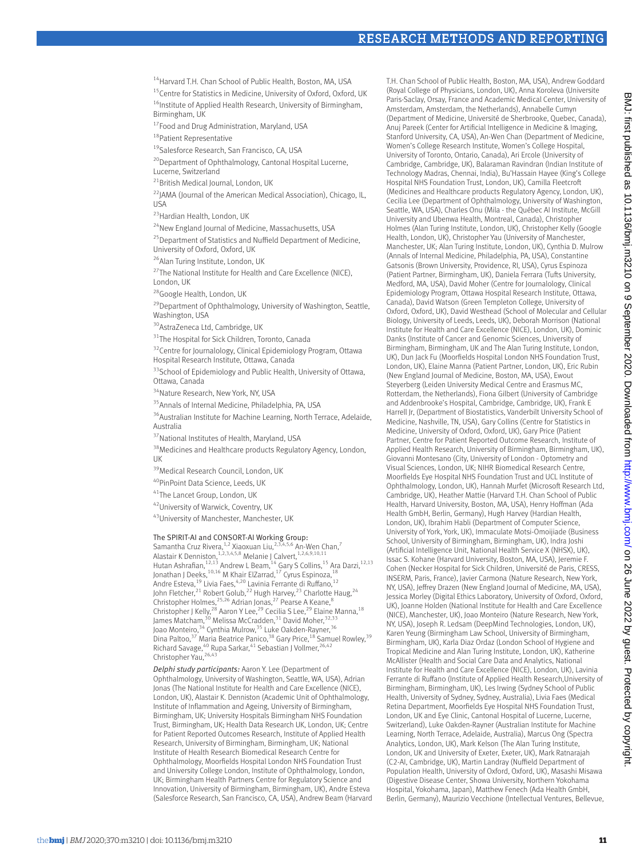<sup>14</sup> Harvard T.H. Chan School of Public Health, Boston, MA, USA

<sup>15</sup>Centre for Statistics in Medicine, University of Oxford, Oxford, UK <sup>16</sup>Institute of Applied Health Research, University of Birmingham, Birmingham, UK

<sup>17</sup>Food and Drug Administration, Maryland, USA

<sup>18</sup>Patient Representative

19 Salesforce Research, San Francisco, CA, USA

<sup>20</sup>Department of Ophthalmology, Cantonal Hospital Lucerne, Lucerne, Switzerland

<sup>21</sup>British Medical Journal, London, UK

<sup>22</sup>JAMA (Journal of the American Medical Association), Chicago, IL,  $IISA$ 

<sup>23</sup> Hardian Health, London, UK

<sup>24</sup>New England Journal of Medicine, Massachusetts, USA

<sup>25</sup> Department of Statistics and Nuffield Department of Medicine, University of Oxford, Oxford, UK

26Alan Turing Institute, London, UK

<sup>27</sup>The National Institute for Health and Care Excellence (NICE), London, UK

<sup>28</sup>Google Health, London, UK

 $^{29}$ Department of Ophthalmology, University of Washington, Seattle, Washington, USA

<sup>30</sup>AstraZeneca Ltd, Cambridge, UK

<sup>31</sup>The Hospital for Sick Children, Toronto, Canada

<sup>32</sup>Centre for Journalology, Clinical Epidemiology Program, Ottawa Hospital Research Institute, Ottawa, Canada

<sup>33</sup>School of Epidemiology and Public Health, University of Ottawa, Ottawa, Canada

<sup>34</sup>Nature Research, New York, NY, USA

<sup>35</sup> Annals of Internal Medicine, Philadelphia, PA, USA

<sup>36</sup>Australian Institute for Machine Learning, North Terrace, Adelaide, Australia

<sup>37</sup>National Institutes of Health, Maryland, USA

<sup>38</sup> Medicines and Healthcare products Regulatory Agency, London, UK

<sup>39</sup>Medical Research Council, London, UK

40PinPoint Data Science, Leeds, UK

41The Lancet Group, London, UK

42University of Warwick, Coventry, UK

43 University of Manchester, Manchester, UK

#### The SPIRIT-AI and CONSORT-AI Working Group:

Samantha Cruz Rivera, <sup>1,2</sup> Xiaoxuan Liu,<sup>2,3,4,5,6</sup> An-Wen Chan,<sup>7</sup><br>Alastair K Denniston, <sup>1,2,3,4,5,8</sup> Melanie J Calvert, <sup>1,2,6,9,10,11</sup> Hutan Ashrafian,<sup>12,13</sup> Andrew L Beam,<sup>14</sup> Gary S Collins,<sup>15</sup> Ara Darzi,<sup>12,13</sup> Jonathan J Deeks, <sup>10,16</sup> M Khair ElZarrad, <sup>17</sup> Cyrus Espinoza, <sup>18</sup> Andre Esteva,<sup>19</sup> Livia Faes,<sup>4,20</sup> Lavinia Ferrante di Ruffano,<sup>12</sup> John Fletcher,<sup>21</sup> Robert Golub,<sup>22</sup> Hugh Harvey,<sup>23</sup> Charlotte Haug,<sup>24</sup> Christopher Holmes,<sup>25,26</sup> Adrian Jonas,<sup>27</sup> Pearse A Keane,<sup>8</sup><br>Christopher J Kelly,<sup>28</sup> Aaron Y Lee,<sup>29</sup> Cecilia S Lee,<sup>29</sup> Elaine Manna,<sup>18</sup> James Matcham,<sup>30</sup> Melissa McCradden,<sup>31</sup> David Moher,<sup>32,33</sup> Joao Monteiro,<sup>34</sup> Cynthia Mulrow,<sup>35</sup> Luke Oakden-Rayner,<sup>36</sup> Dina Paltoo,<sup>37</sup> Maria Beatrice Panico,<sup>38</sup> Gary Price,<sup>18</sup> Samuel Rowley,<sup>39</sup> Richard Savage,<sup>40</sup> Rupa Sarkar,<sup>41</sup> Sebastian J Vollmer,<sup>26,42</sup> Christopher Yau,<sup>26,43</sup>

*Delphi study participants:* Aaron Y. Lee (Department of Ophthalmology, University of Washington, Seattle, WA, USA), Adrian Jonas (The National Institute for Health and Care Excellence (NICE), London, UK), Alastair K. Denniston (Academic Unit of Ophthalmology, Institute of Inflammation and Ageing, University of Birmingham, Birmingham, UK; University Hospitals Birmingham NHS Foundation Trust, Birmingham, UK; Health Data Research UK, London, UK; Centre for Patient Reported Outcomes Research, Institute of Applied Health Research, University of Birmingham, Birmingham, UK; National Institute of Health Research Biomedical Research Centre for Ophthalmology, Moorfields Hospital London NHS Foundation Trust and University College London, Institute of Ophthalmology, London, UK; Birmingham Health Partners Centre for Regulatory Science and Innovation, University of Birmingham, Birmingham, UK), Andre Esteva (Salesforce Research, San Francisco, CA, USA), Andrew Beam (Harvard T.H. Chan School of Public Health, Boston, MA, USA), Andrew Goddard (Royal College of Physicians, London, UK), Anna Koroleva (Universite Paris-Saclay, Orsay, France and Academic Medical Center, University of Amsterdam, Amsterdam, the Netherlands), Annabelle Cumyn (Department of Medicine, Université de Sherbrooke, Quebec, Canada), Anuj Pareek (Center for Artificial Intelligence in Medicine & Imaging, Stanford University, CA, USA), An-Wen Chan (Department of Medicine, Women's College Research Institute, Women's College Hospital, University of Toronto, Ontario, Canada), Ari Ercole (University of Cambridge, Cambridge, UK), Balaraman Ravindran (Indian Institute of Technology Madras, Chennai, India), Bu'Hassain Hayee (King's College Hospital NHS Foundation Trust, London, UK), Camilla Fleetcroft (Medicines and Healthcare products Regulatory Agency, London, UK), Cecilia Lee (Department of Ophthalmology, University of Washington, Seattle, WA, USA), Charles Onu (Mila - the Québec AI Institute, McGill University and Ubenwa Health, Montreal, Canada), Christopher Holmes (Alan Turing Institute, London, UK), Christopher Kelly (Google Health, London, UK), Christopher Yau (University of Manchester, Manchester, UK; Alan Turing Institute, London, UK), Cynthia D. Mulrow (Annals of Internal Medicine, Philadelphia, PA, USA), Constantine Gatsonis (Brown University, Providence, RI, USA), Cyrus Espinoza (Patient Partner, Birmingham, UK), Daniela Ferrara (Tufts University, Medford, MA, USA), David Moher (Centre for Journalology, Clinical Epidemiology Program, Ottawa Hospital Research Institute, Ottawa, Canada), David Watson (Green Templeton College, University of Oxford, Oxford, UK), David Westhead (School of Molecular and Cellular Biology, University of Leeds, Leeds, UK), Deborah Morrison (National Institute for Health and Care Excellence (NICE), London, UK), Dominic Danks (Institute of Cancer and Genomic Sciences, University of Birmingham, Birmingham, UK and The Alan Turing Institute, London, UK), Dun Jack Fu (Moorfields Hospital London NHS Foundation Trust, London, UK), Elaine Manna (Patient Partner, London, UK), Eric Rubin (New England Journal of Medicine, Boston, MA, USA), Ewout Steyerberg (Leiden University Medical Centre and Erasmus MC, Rotterdam, the Netherlands), Fiona Gilbert (University of Cambridge and Addenbrooke's Hospital, Cambridge, Cambridge, UK), Frank E Harrell Jr, (Department of Biostatistics, Vanderbilt University School of Medicine, Nashville, TN, USA), Gary Collins (Centre for Statistics in Medicine, University of Oxford, Oxford, UK), Gary Price (Patient Partner, Centre for Patient Reported Outcome Research, Institute of Applied Health Research, University of Birmingham, Birmingham, UK), Giovanni Montesano (City, University of London - Optometry and Visual Sciences, London, UK; NIHR Biomedical Research Centre, Moorfields Eye Hospital NHS Foundation Trust and UCL Institute of Ophthalmology, London, UK), Hannah Murfet (Microsoft Research Ltd, Cambridge, UK), Heather Mattie (Harvard T.H. Chan School of Public Health, Harvard University, Boston, MA, USA), Henry Hoffman (Ada Health GmbH, Berlin, Germany), Hugh Harvey (Hardian Health, London, UK), Ibrahim Habli (Department of Computer Science, University of York, York, UK), Immaculate Motsi-Omoijiade (Business School, University of Birmingham, Birmingham, UK), Indra Joshi (Artificial Intelligence Unit, National Health Service X (NHSX), UK), Issac S. Kohane (Harvard University, Boston, MA, USA), Jeremie F. Cohen (Necker Hospital for Sick Children, Université de Paris, CRESS, INSERM, Paris, France), Javier Carmona (Nature Research, New York, NY, USA), Jeffrey Drazen (New England Journal of Medicine, MA, USA), Jessica Morley (Digital Ethics Laboratory, University of Oxford, Oxford, UK), Joanne Holden (National Institute for Health and Care Excellence (NICE), Manchester, UK), Joao Monteiro (Nature Research, New York, NY, USA), Joseph R. Ledsam (DeepMind Technologies, London, UK), Karen Yeung (Birmingham Law School, University of Birmingham, Birmingham, UK), Karla Diaz Ordaz (London School of Hygiene and Tropical Medicine and Alan Turing Institute, London, UK), Katherine McAllister (Health and Social Care Data and Analytics, National Institute for Health and Care Excellence (NICE), London, UK), Lavinia Ferrante di Ruffano (Institute of Applied Health Research,University of Birmingham, Birmingham, UK), Les Irwing (Sydney School of Public Health, University of Sydney, Sydney, Australia), Livia Faes (Medical Retina Department, Moorfields Eye Hospital NHS Foundation Trust, London, UK and Eye Clinic, Cantonal Hospital of Lucerne, Lucerne, Switzerland), Luke Oakden-Rayner (Australian Institute for Machine Learning, North Terrace, Adelaide, Australia), Marcus Ong (Spectra Analytics, London, UK), Mark Kelson (The Alan Turing Institute, London, UK and University of Exeter, Exeter, UK), Mark Ratnarajah (C2-AI, Cambridge, UK), Martin Landray (Nuffield Department of Population Health, University of Oxford, Oxford, UK), Masashi Misawa (Digestive Disease Center, Showa University, Northern Yokohama Hospital, Yokohama, Japan), Matthew Fenech (Ada Health GmbH, Berlin, Germany), Maurizio Vecchione (Intellectual Ventures, Bellevue,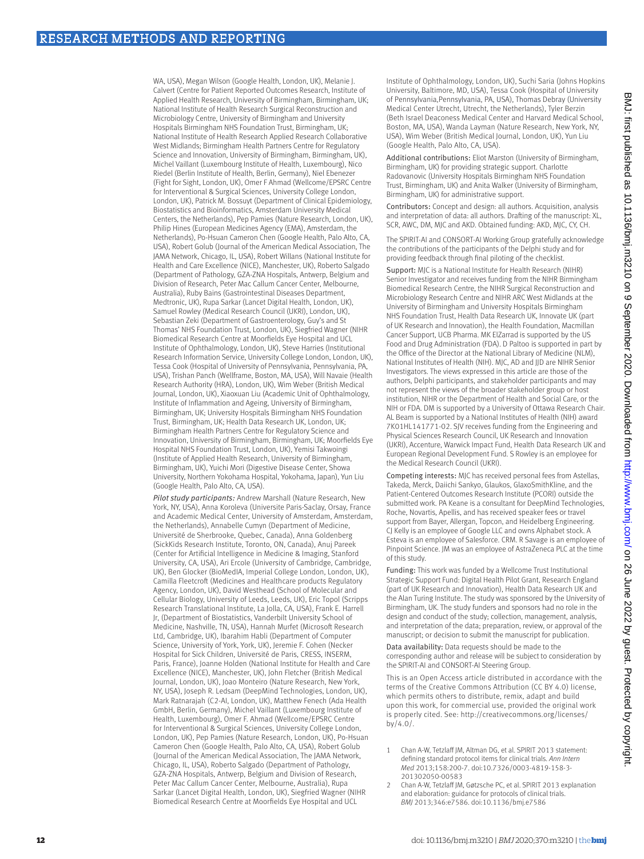WA, USA), Megan Wilson (Google Health, London, UK), Melanie J. Calvert (Centre for Patient Reported Outcomes Research, Institute of Applied Health Research, University of Birmingham, Birmingham, UK; National Institute of Health Research Surgical Reconstruction and Microbiology Centre, University of Birmingham and University Hospitals Birmingham NHS Foundation Trust, Birmingham, UK; National Institute of Health Research Applied Research Collaborative West Midlands; Birmingham Health Partners Centre for Regulatory Science and Innovation, University of Birmingham, Birmingham, UK), Michel Vaillant (Luxembourg Institute of Health, Luxembourg), Nico Riedel (Berlin Institute of Health, Berlin, Germany), Niel Ebenezer (Fight for Sight, London, UK), Omer F Ahmad (Wellcome/EPSRC Centre for Interventional & Surgical Sciences, University College London, London, UK), Patrick M. Bossuyt (Department of Clinical Epidemiology, Biostatistics and Bioinformatics, Amsterdam University Medical Centers, the Netherlands), Pep Pamies (Nature Research, London, UK), Philip Hines (European Medicines Agency (EMA), Amsterdam, the Netherlands), Po-Hsuan Cameron Chen (Google Health, Palo Alto, CA, USA), Robert Golub (Journal of the American Medical Association, The JAMA Network, Chicago, IL, USA), Robert Willans (National Institute for Health and Care Excellence (NICE), Manchester, UK), Roberto Salgado (Department of Pathology, GZA-ZNA Hospitals, Antwerp, Belgium and Division of Research, Peter Mac Callum Cancer Center, Melbourne, Australia), Ruby Bains (Gastrointestinal Diseases Department, Medtronic, UK), Rupa Sarkar (Lancet Digital Health, London, UK), Samuel Rowley (Medical Research Council (UKRI), London, UK), Sebastian Zeki (Department of Gastroenterology, Guy's and St Thomas' NHS Foundation Trust, London, UK), Siegfried Wagner (NIHR Biomedical Research Centre at Moorfields Eye Hospital and UCL Institute of Ophthalmology, London, UK), Steve Harries (Institutional Research Information Service, University College London, London, UK), Tessa Cook (Hospital of University of Pennsylvania, Pennsylvania, PA, USA), Trishan Panch (Wellframe, Boston, MA, USA), Will Navaie (Health Research Authority (HRA), London, UK), Wim Weber (British Medical Journal, London, UK), Xiaoxuan Liu (Academic Unit of Ophthalmology, Institute of Inflammation and Ageing, University of Birmingham, Birmingham, UK; University Hospitals Birmingham NHS Foundation Trust, Birmingham, UK; Health Data Research UK, London, UK; Birmingham Health Partners Centre for Regulatory Science and Innovation, University of Birmingham, Birmingham, UK; Moorfields Eye Hospital NHS Foundation Trust, London, UK), Yemisi Takwoingi (Institute of Applied Health Research, University of Birmingham, Birmingham, UK), Yuichi Mori (Digestive Disease Center, Showa University, Northern Yokohama Hospital, Yokohama, Japan), Yun Liu (Google Health, Palo Alto, CA, USA).

*Pilot study participants:* Andrew Marshall (Nature Research, New York, NY, USA), Anna Koroleva (Universite Paris-Saclay, Orsay, France and Academic Medical Center, University of Amsterdam, Amsterdam, the Netherlands), Annabelle Cumyn (Department of Medicine, Université de Sherbrooke, Quebec, Canada), Anna Goldenberg (SickKids Research Institute, Toronto, ON, Canada), Anuj Pareek (Center for Artificial Intelligence in Medicine & Imaging, Stanford University, CA, USA), Ari Ercole (University of Cambridge, Cambridge, UK), Ben Glocker (BioMedIA, Imperial College London, London, UK), Camilla Fleetcroft (Medicines and Healthcare products Regulatory Agency, London, UK), David Westhead (School of Molecular and Cellular Biology, University of Leeds, Leeds, UK), Eric Topol (Scripps Research Translational Institute, La Jolla, CA, USA), Frank E. Harrell Jr, (Department of Biostatistics, Vanderbilt University School of Medicine, Nashville, TN, USA), Hannah Murfet (Microsoft Research Ltd, Cambridge, UK), Ibarahim Habli (Department of Computer Science, University of York, York, UK), Jeremie F. Cohen (Necker Hospital for Sick Children, Université de Paris, CRESS, INSERM, Paris, France), Joanne Holden (National Institute for Health and Care Excellence (NICE), Manchester, UK), John Fletcher (British Medical Journal, London, UK), Joao Monteiro (Nature Research, New York, NY, USA), Joseph R. Ledsam (DeepMind Technologies, London, UK), Mark Ratnarajah (C2-AI, London, UK), Matthew Fenech (Ada Health GmbH, Berlin, Germany), Michel Vaillant (Luxembourg Institute of Health, Luxembourg), Omer F. Ahmad (Wellcome/EPSRC Centre for Interventional & Surgical Sciences, University College London, London, UK), Pep Pamies (Nature Research, London, UK), Po-Hsuan Cameron Chen (Google Health, Palo Alto, CA, USA), Robert Golub (Journal of the American Medical Association, The JAMA Network, Chicago, IL, USA), Roberto Salgado (Department of Pathology, GZA-ZNA Hospitals, Antwerp, Belgium and Division of Research, Peter Mac Callum Cancer Center, Melbourne, Australia), Rupa Sarkar (Lancet Digital Health, London, UK), Siegfried Wagner (NIHR Biomedical Research Centre at Moorfields Eye Hospital and UCL

Institute of Ophthalmology, London, UK), Suchi Saria (Johns Hopkins University, Baltimore, MD, USA), Tessa Cook (Hospital of University of Pennsylvania,Pennsylvania, PA, USA), Thomas Debray (University Medical Center Utrecht, Utrecht, the Netherlands), Tyler Berzin (Beth Israel Deaconess Medical Center and Harvard Medical School, Boston, MA, USA), Wanda Layman (Nature Research, New York, NY, USA), Wim Weber (British Medical Journal, London, UK), Yun Liu (Google Health, Palo Alto, CA, USA).

Additional contributions: Eliot Marston (University of Birmingham, Birmingham, UK) for providing strategic support. Charlotte Radovanovic (University Hospitals Birmingham NHS Foundation Trust, Birmingham, UK) and Anita Walker (University of Birmingham, Birmingham, UK) for administrative support.

Contributors: Concept and design: all authors. Acquisition, analysis and interpretation of data: all authors. Drafting of the manuscript: XL, SCR, AWC, DM, MJC and AKD. Obtained funding: AKD, MJC, CY, CH.

The SPIRIT-AI and CONSORT-AI Working Group gratefully acknowledge the contributions of the participants of the Delphi study and for providing feedback through final piloting of the checklist.

Support: MJC is a National Institute for Health Research (NIHR) Senior Investigator and receives funding from the NIHR Birmingham Biomedical Research Centre, the NIHR Surgical Reconstruction and Microbiology Research Centre and NIHR ARC West Midlands at the University of Birmingham and University Hospitals Birmingham NHS Foundation Trust, Health Data Research UK, Innovate UK (part of UK Research and Innovation), the Health Foundation, Macmillan Cancer Support, UCB Pharma. MK ElZarrad is supported by the US Food and Drug Administration (FDA). D Paltoo is supported in part by the Office of the Director at the National Library of Medicine (NLM), National Institutes of Health (NIH). MJC, AD and JJD are NIHR Senior Investigators. The views expressed in this article are those of the authors, Delphi participants, and stakeholder participants and may not represent the views of the broader stakeholder group or host institution, NIHR or the Department of Health and Social Care, or the NIH or FDA. DM is supported by a University of Ottawa Research Chair. AL Beam is supported by a National Institutes of Health (NIH) award 7K01HL141771-02. SJV receives funding from the Engineering and Physical Sciences Research Council, UK Research and Innovation (UKRI), Accenture, Warwick Impact Fund, Health Data Research UK and European Regional Development Fund. S Rowley is an employee for the Medical Research Council (UKRI).

Competing interests: MJC has received personal fees from Astellas, Takeda, Merck, Daiichi Sankyo, Glaukos, GlaxoSmithKline, and the Patient-Centered Outcomes Research Institute (PCORI) outside the submitted work. PA Keane is a consultant for DeepMind Technologies, Roche, Novartis, Apellis, and has received speaker fees or travel support from Bayer, Allergan, Topcon, and Heidelberg Engineering. CJ Kelly is an employee of Google LLC and owns Alphabet stock. A Esteva is an employee of Salesforce. CRM. R Savage is an employee of Pinpoint Science. JM was an employee of AstraZeneca PLC at the time of this study.

Funding: This work was funded by a Wellcome Trust Institutional Strategic Support Fund: Digital Health Pilot Grant, Research England (part of UK Research and Innovation), Health Data Research UK and the Alan Turing Institute. The study was sponsored by the University of Birmingham, UK. The study funders and sponsors had no role in the design and conduct of the study; collection, management, analysis, and interpretation of the data; preparation, review, or approval of the manuscript; or decision to submit the manuscript for publication.

Data availability: Data requests should be made to the corresponding author and release will be subject to consideration by the SPIRIT-AI and CONSORT-AI Steering Group.

This is an Open Access article distributed in accordance with the terms of the Creative Commons Attribution (CC BY 4.0) license, which permits others to distribute, remix, adapt and build upon this work, for commercial use, provided the original work is properly cited. See: [http://creativecommons.org/licenses/](http://creativecommons.org/licenses/by/4.0/) [by/4.0/.](http://creativecommons.org/licenses/by/4.0/)

- 1 Chan A-W, Tetzlaff JM, Altman DG, et al. SPIRIT 2013 statement: defining standard protocol items for clinical trials. *Ann Intern Med* 2013;158:200-7. doi:10.7326/0003-4819-158-3- 201302050-00583
- 2 Chan A-W, Tetzlaff JM, Gøtzsche PC, et al. SPIRIT 2013 explanation and elaboration: guidance for protocols of clinical trials. *BMJ* 2013;346:e7586. doi:10.1136/bmj.e7586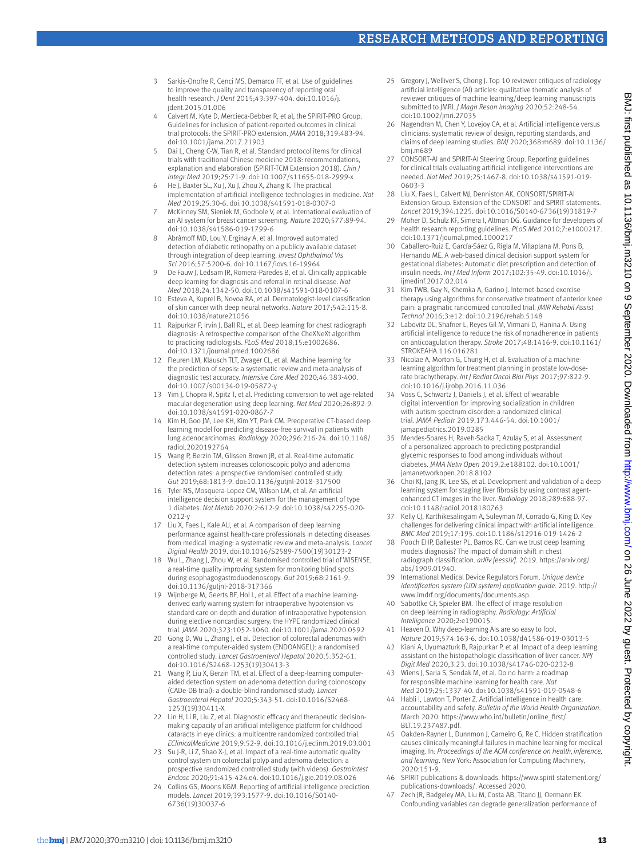# Research Methods and Reporting

- 3 Sarkis-Onofre R, Cenci MS, Demarco FF, et al. Use of guidelines to improve the quality and transparency of reporting oral health research. *J Dent* 2015;43:397-404. doi:10.1016/j. jdent.2015.01.006
- 4 Calvert M, Kyte D, Mercieca-Bebber R, et al, the SPIRIT-PRO Group. Guidelines for inclusion of patient-reported outcomes in clinical trial protocols: the SPIRIT-PRO extension. *JAMA* 2018;319:483-94. doi:10.1001/jama.2017.21903
- 5 Dai L, Cheng C-W, Tian R, et al. Standard protocol items for clinical trials with traditional Chinese medicine 2018: recommendations, explanation and elaboration (SPIRIT-TCM Extension 2018). *Chin J Integr Med* 2019;25:71-9. doi:10.1007/s11655-018-2999-x
- 6 He J, Baxter SL, Xu J, Xu J, Zhou X, Zhang K. The practical implementation of artificial intelligence technologies in medicine. *Nat Med* 2019;25:30-6. doi:10.1038/s41591-018-0307-0
- 7 McKinney SM, Sieniek M, Godbole V, et al. International evaluation of an AI system for breast cancer screening. *Nature* 2020;577:89-94. doi:10.1038/s41586-019-1799-6
- 8 Abràmoff MD, Lou Y, Erginay A, et al. Improved automated detection of diabetic retinopathy on a publicly available dataset through integration of deep learning. *Invest Ophthalmol Vis Sci* 2016;57:5200-6. doi:10.1167/iovs.16-19964
- 9 De Fauw J, Ledsam JR, Romera-Paredes B, et al. Clinically applicable deep learning for diagnosis and referral in retinal disease. *Nat Med* 2018;24:1342-50. doi:10.1038/s41591-018-0107-6
- 10 Esteva A, Kuprel B, Novoa RA, et al. Dermatologist-level classification of skin cancer with deep neural networks. *Nature* 2017;542:115-8. doi:10.1038/nature21056
- 11 Rajpurkar P, Irvin J, Ball RL, et al. Deep learning for chest radiograph diagnosis: A retrospective comparison of the CheXNeXt algorithm to practicing radiologists. *PLoS Med* 2018;15:e1002686. doi:10.1371/journal.pmed.1002686
- 12 Fleuren LM, Klausch TLT, Zwager CL, et al. Machine learning for the prediction of sepsis: a systematic review and meta-analysis of diagnostic test accuracy. *Intensive Care Med* 2020;46:383-400. doi:10.1007/s00134-019-05872-y
- Yim J, Chopra R, Spitz T, et al. Predicting conversion to wet age-related macular degeneration using deep learning. *Nat Med* 2020;26:892-9. doi:10.1038/s41591-020-0867-7
- 14 Kim H, Goo JM, Lee KH, Kim YT, Park CM. Preoperative CT-based deep learning model for predicting disease-free survival in patients with lung adenocarcinomas. *Radiology* 2020;296:216-24. doi:10.1148/ radiol.2020192764
- 15 Wang P, Berzin TM, Glissen Brown JR, et al. Real-time automatic detection system increases colonoscopic polyp and adenoma detection rates: a prospective randomised controlled study. *Gut* 2019;68:1813-9. doi:10.1136/gutjnl-2018-317500
- 16 Tyler NS, Mosquera-Lopez CM, Wilson LM, et al. An artificial intelligence decision support system for the management of type 1 diabetes. *Nat Metab* 2020;2:612-9. doi:10.1038/s42255-020- 0212-y
- 17 Liu X, Faes L, Kale AU, et al. A comparison of deep learning performance against health-care professionals in detecting diseases from medical imaging: a systematic review and meta-analysis. *Lancet Digital Health* 2019. doi:10.1016/S2589-7500(19)30123-2
- 18 Wu L, Zhang J, Zhou W, et al. Randomised controlled trial of WISENSE, a real-time quality improving system for monitoring blind spots during esophagogastroduodenoscopy. *Gut* 2019;68:2161-9. doi:10.1136/gutjnl-2018-317366
- 19 Wijnberge M, Geerts BF, Hol L, et al. Effect of a machine learningderived early warning system for intraoperative hypotension vs standard care on depth and duration of intraoperative hypotension during elective noncardiac surgery: the HYPE randomized clinical trial. *JAMA* 2020;323:1052-1060. doi:10.1001/jama.2020.0592
- 20 Gong D, Wu L, Zhang J, et al. Detection of colorectal adenomas with a real-time computer-aided system (ENDOANGEL): a randomised controlled study. *Lancet Gastroenterol Hepatol* 2020;5:352-61. doi:10.1016/S2468-1253(19)30413-3
- Wang P, Liu X, Berzin TM, et al. Effect of a deep-learning computeraided detection system on adenoma detection during colonoscopy (CADe-DB trial): a double-blind randomised study. *Lancet Gastroenterol Hepatol* 2020;5:343-51. doi:10.1016/S2468- 1253(19)30411-X
- 22 Lin H, Li R, Liu Z, et al. Diagnostic efficacy and therapeutic decisionmaking capacity of an artificial intelligence platform for childhood cataracts in eye clinics: a multicentre randomized controlled trial. *EClinicalMedicine* 2019;9:52-9. doi:10.1016/j.eclinm.2019.03.001
- 23 Su J-R, Li Z, Shao X-J, et al. Impact of a real-time automatic quality control system on colorectal polyp and adenoma detection: a prospective randomized controlled study (with videos). *Gastrointest Endosc* 2020;91:415-424.e4. doi:10.1016/j.gie.2019.08.026
- Collins GS, Moons KGM. Reporting of artificial intelligence prediction models. *Lancet* 2019;393:1577-9. doi:10.1016/S0140- 6736(19)30037-6
- 25 Gregory J, Welliver S, Chong J, Top 10 reviewer critiques of radiology artificial intelligence (AI) articles: qualitative thematic analysis of reviewer critiques of machine learning/deep learning manuscripts submitted to JMRI. *J Magn Reson Imaging* 2020;52:248-54. doi:10.1002/jmri.27035
- 26 Nagendran M, Chen Y, Lovejoy CA, et al. Artificial intelligence versus clinicians: systematic review of design, reporting standards, and claims of deep learning studies. *BMJ* 2020;368:m689. doi:10.1136/ bmj.m689
- 27 CONSORT-AI and SPIRIT-AI Steering Group. Reporting guidelines for clinical trials evaluating artificial intelligence interventions are needed. *Nat Med* 2019;25:1467-8. doi:10.1038/s41591-019- 0603-3
- 28 Liu X, Faes L, Calvert MJ, Denniston AK, CONSORT/SPIRIT-AI Extension Group. Extension of the CONSORT and SPIRIT statements. *Lancet* 2019;394:1225. doi:10.1016/S0140-6736(19)31819-7
- Moher D, Schulz KF, Simera I, Altman DG. Guidance for developers of health research reporting guidelines. *PLoS Med* 2010;7:e1000217. doi:10.1371/journal.pmed.1000217
- 30 Caballero-Ruiz E, García-Sáez G, Rigla M, Villaplana M, Pons B, Hernando ME. A web-based clinical decision support system for gestational diabetes: Automatic diet prescription and detection of insulin needs. *Int J Med Inform* 2017;102:35-49. doi:10.1016/j. ijmedinf.2017.02.014
- 31 Kim TWB, Gay N, Khemka A, Garino J. Internet-based exercise therapy using algorithms for conservative treatment of anterior knee pain: a pragmatic randomized controlled trial. *JMIR Rehabil Assist Technol* 2016;3:e12. doi:10.2196/rehab.5148
- 32 Labovitz DL, Shafner L, Reyes Gil M, Virmani D, Hanina A. Using artificial intelligence to reduce the risk of nonadherence in patients on anticoagulation therapy. *Stroke* 2017;48:1416-9. doi:10.1161/ STROKEAHA.116.016281
- Nicolae A, Morton G, Chung H, et al. Evaluation of a machinelearning algorithm for treatment planning in prostate low-doserate brachytherapy. *Int J Radiat Oncol Biol Phys* 2017;97:822-9. doi:10.1016/j.ijrobp.2016.11.036
- 34 Voss C, Schwartz J, Daniels J, et al. Effect of wearable digital intervention for improving socialization in children with autism spectrum disorder: a randomized clinical trial. *JAMA Pediatr* 2019;173:446-54. doi:10.1001/ jamapediatrics.2019.0285
- 35 Mendes-Soares H, Raveh-Sadka T, Azulay S, et al. Assessment of a personalized approach to predicting postprandial glycemic responses to food among individuals without diabetes. *JAMA Netw Open* 2019;2:e188102. doi:10.1001/ jamanetworkopen.2018.8102
- 36 Choi KJ, Jang JK, Lee SS, et al. Development and validation of a deep learning system for staging liver fibrosis by using contrast agentenhanced CT images in the liver. *Radiology* 2018;289:688-97. doi:10.1148/radiol.2018180763
- 37 Kelly CJ, Karthikesalingam A, Suleyman M, Corrado G, King D. Key challenges for delivering clinical impact with artificial intelligence. *BMC Med* 2019;17:195. doi:10.1186/s12916-019-1426-2
- 38 Pooch EHP, Ballester PL, Barros RC. Can we trust deep learning models diagnosis? The impact of domain shift in chest radiograph classification. *arXiv [eessIV]*. 2019. [https://arxiv.org/](https://arxiv.org/abs/1909.01940) [abs/1909.01940](https://arxiv.org/abs/1909.01940).
- 39 International Medical Device Regulators Forum. *Unique device identification system (UDI system) application guide*. 2019. [http://](http://www.imdrf.org/documents/documents.asp) [www.imdrf.org/documents/documents.asp](http://www.imdrf.org/documents/documents.asp).
- 40 Sabottke CF, Spieler BM. The effect of image resolution on deep learning in radiography. *Radiology: Artificial Intelligence* 2020;2:e190015.
- 41 Heaven D. Why deep-learning AIs are so easy to fool. *Nature* 2019;574:163-6. doi:10.1038/d41586-019-03013-5
- 42 Kiani A, Uyumazturk B, Rajpurkar P, et al. Impact of a deep learning assistant on the histopathologic classification of liver cancer. *NPJ Digit Med* 2020;3:23. doi:10.1038/s41746-020-0232-8
- 43 Wiens J, Saria S, Sendak M, et al. Do no harm: a roadmap for responsible machine learning for health care. *Nat Med* 2019;25:1337-40. doi:10.1038/s41591-019-0548-6
- 44 Habli I, Lawton T, Porter Z. Artificial intelligence in health care: accountability and safety. *Bulletin of the World Health Organization*. March 2020. [https://www.who.int/bulletin/online\\_first/](https://www.who.int/bulletin/online_first/BLT.19.237487.pdf) [BLT.19.237487.pdf.](https://www.who.int/bulletin/online_first/BLT.19.237487.pdf)
- 45 Oakden-Rayner L, Dunnmon J, Carneiro G, Re C. Hidden stratification causes clinically meaningful failures in machine learning for medical imaging. In: *Proceedings of the ACM conference on health, inference, and learning*. New York: Association for Computing Machinery, 2020:151-9.
- 46 SPIRIT publications & downloads. [https://www.spirit-statement.org/](https://www.spirit-statement.org/publications-downloads/) [publications-downloads/.](https://www.spirit-statement.org/publications-downloads/) Accessed 2020.
- 47 Zech JR, Badgeley MA, Liu M, Costa AB, Titano JJ, Oermann FK, Confounding variables can degrade generalization performance of